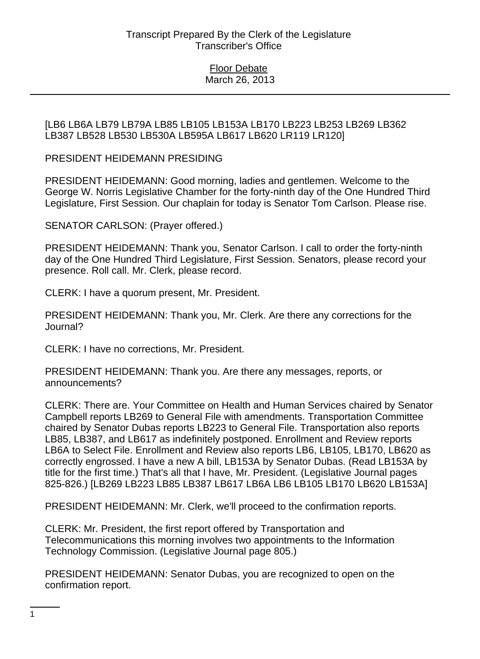[LB6 LB6A LB79 LB79A LB85 LB105 LB153A LB170 LB223 LB253 LB269 LB362 LB387 LB528 LB530 LB530A LB595A LB617 LB620 LR119 LR120]

PRESIDENT HEIDEMANN PRESIDING

PRESIDENT HEIDEMANN: Good morning, ladies and gentlemen. Welcome to the George W. Norris Legislative Chamber for the forty-ninth day of the One Hundred Third Legislature, First Session. Our chaplain for today is Senator Tom Carlson. Please rise.

SENATOR CARLSON: (Prayer offered.)

PRESIDENT HEIDEMANN: Thank you, Senator Carlson. I call to order the forty-ninth day of the One Hundred Third Legislature, First Session. Senators, please record your presence. Roll call. Mr. Clerk, please record.

CLERK: I have a quorum present, Mr. President.

PRESIDENT HEIDEMANN: Thank you, Mr. Clerk. Are there any corrections for the Journal?

CLERK: I have no corrections, Mr. President.

PRESIDENT HEIDEMANN: Thank you. Are there any messages, reports, or announcements?

CLERK: There are. Your Committee on Health and Human Services chaired by Senator Campbell reports LB269 to General File with amendments. Transportation Committee chaired by Senator Dubas reports LB223 to General File. Transportation also reports LB85, LB387, and LB617 as indefinitely postponed. Enrollment and Review reports LB6A to Select File. Enrollment and Review also reports LB6, LB105, LB170, LB620 as correctly engrossed. I have a new A bill, LB153A by Senator Dubas. (Read LB153A by title for the first time.) That's all that I have, Mr. President. (Legislative Journal pages 825-826.) [LB269 LB223 LB85 LB387 LB617 LB6A LB6 LB105 LB170 LB620 LB153A]

PRESIDENT HEIDEMANN: Mr. Clerk, we'll proceed to the confirmation reports.

CLERK: Mr. President, the first report offered by Transportation and Telecommunications this morning involves two appointments to the Information Technology Commission. (Legislative Journal page 805.)

PRESIDENT HEIDEMANN: Senator Dubas, you are recognized to open on the confirmation report.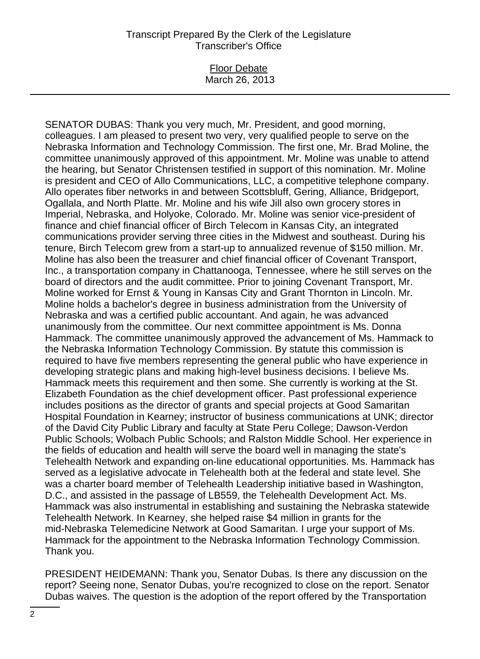#### Floor Debate March 26, 2013

SENATOR DUBAS: Thank you very much, Mr. President, and good morning, colleagues. I am pleased to present two very, very qualified people to serve on the Nebraska Information and Technology Commission. The first one, Mr. Brad Moline, the committee unanimously approved of this appointment. Mr. Moline was unable to attend the hearing, but Senator Christensen testified in support of this nomination. Mr. Moline is president and CEO of Allo Communications, LLC, a competitive telephone company. Allo operates fiber networks in and between Scottsbluff, Gering, Alliance, Bridgeport, Ogallala, and North Platte. Mr. Moline and his wife Jill also own grocery stores in Imperial, Nebraska, and Holyoke, Colorado. Mr. Moline was senior vice-president of finance and chief financial officer of Birch Telecom in Kansas City, an integrated communications provider serving three cities in the Midwest and southeast. During his tenure, Birch Telecom grew from a start-up to annualized revenue of \$150 million. Mr. Moline has also been the treasurer and chief financial officer of Covenant Transport, Inc., a transportation company in Chattanooga, Tennessee, where he still serves on the board of directors and the audit committee. Prior to joining Covenant Transport, Mr. Moline worked for Ernst & Young in Kansas City and Grant Thornton in Lincoln. Mr. Moline holds a bachelor's degree in business administration from the University of Nebraska and was a certified public accountant. And again, he was advanced unanimously from the committee. Our next committee appointment is Ms. Donna Hammack. The committee unanimously approved the advancement of Ms. Hammack to the Nebraska Information Technology Commission. By statute this commission is required to have five members representing the general public who have experience in developing strategic plans and making high-level business decisions. I believe Ms. Hammack meets this requirement and then some. She currently is working at the St. Elizabeth Foundation as the chief development officer. Past professional experience includes positions as the director of grants and special projects at Good Samaritan Hospital Foundation in Kearney; instructor of business communications at UNK; director of the David City Public Library and faculty at State Peru College; Dawson-Verdon Public Schools; Wolbach Public Schools; and Ralston Middle School. Her experience in the fields of education and health will serve the board well in managing the state's Telehealth Network and expanding on-line educational opportunities. Ms. Hammack has served as a legislative advocate in Telehealth both at the federal and state level. She was a charter board member of Telehealth Leadership initiative based in Washington, D.C., and assisted in the passage of LB559, the Telehealth Development Act. Ms. Hammack was also instrumental in establishing and sustaining the Nebraska statewide Telehealth Network. In Kearney, she helped raise \$4 million in grants for the mid-Nebraska Telemedicine Network at Good Samaritan. I urge your support of Ms. Hammack for the appointment to the Nebraska Information Technology Commission. Thank you.

PRESIDENT HEIDEMANN: Thank you, Senator Dubas. Is there any discussion on the report? Seeing none, Senator Dubas, you're recognized to close on the report. Senator Dubas waives. The question is the adoption of the report offered by the Transportation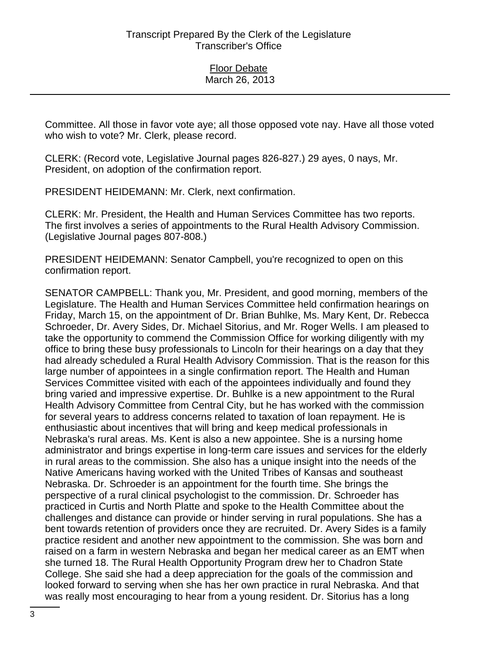Committee. All those in favor vote aye; all those opposed vote nay. Have all those voted who wish to vote? Mr. Clerk, please record.

CLERK: (Record vote, Legislative Journal pages 826-827.) 29 ayes, 0 nays, Mr. President, on adoption of the confirmation report.

PRESIDENT HEIDEMANN: Mr. Clerk, next confirmation.

CLERK: Mr. President, the Health and Human Services Committee has two reports. The first involves a series of appointments to the Rural Health Advisory Commission. (Legislative Journal pages 807-808.)

PRESIDENT HEIDEMANN: Senator Campbell, you're recognized to open on this confirmation report.

SENATOR CAMPBELL: Thank you, Mr. President, and good morning, members of the Legislature. The Health and Human Services Committee held confirmation hearings on Friday, March 15, on the appointment of Dr. Brian Buhlke, Ms. Mary Kent, Dr. Rebecca Schroeder, Dr. Avery Sides, Dr. Michael Sitorius, and Mr. Roger Wells. I am pleased to take the opportunity to commend the Commission Office for working diligently with my office to bring these busy professionals to Lincoln for their hearings on a day that they had already scheduled a Rural Health Advisory Commission. That is the reason for this large number of appointees in a single confirmation report. The Health and Human Services Committee visited with each of the appointees individually and found they bring varied and impressive expertise. Dr. Buhlke is a new appointment to the Rural Health Advisory Committee from Central City, but he has worked with the commission for several years to address concerns related to taxation of loan repayment. He is enthusiastic about incentives that will bring and keep medical professionals in Nebraska's rural areas. Ms. Kent is also a new appointee. She is a nursing home administrator and brings expertise in long-term care issues and services for the elderly in rural areas to the commission. She also has a unique insight into the needs of the Native Americans having worked with the United Tribes of Kansas and southeast Nebraska. Dr. Schroeder is an appointment for the fourth time. She brings the perspective of a rural clinical psychologist to the commission. Dr. Schroeder has practiced in Curtis and North Platte and spoke to the Health Committee about the challenges and distance can provide or hinder serving in rural populations. She has a bent towards retention of providers once they are recruited. Dr. Avery Sides is a family practice resident and another new appointment to the commission. She was born and raised on a farm in western Nebraska and began her medical career as an EMT when she turned 18. The Rural Health Opportunity Program drew her to Chadron State College. She said she had a deep appreciation for the goals of the commission and looked forward to serving when she has her own practice in rural Nebraska. And that was really most encouraging to hear from a young resident. Dr. Sitorius has a long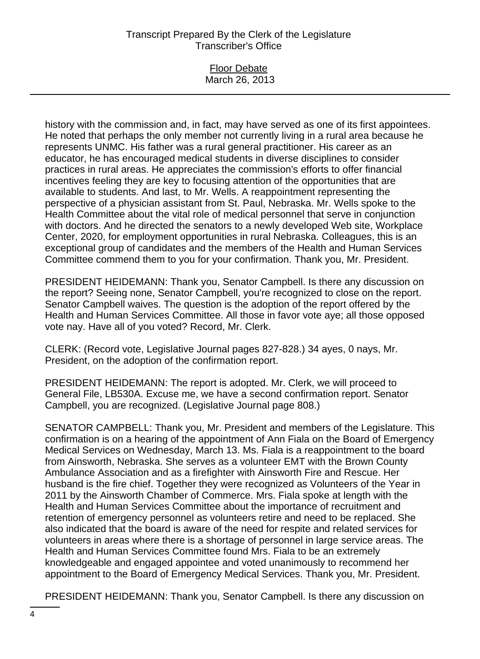| <b>Floor Debate</b> |
|---------------------|
| March 26, 2013      |

history with the commission and, in fact, may have served as one of its first appointees. He noted that perhaps the only member not currently living in a rural area because he represents UNMC. His father was a rural general practitioner. His career as an educator, he has encouraged medical students in diverse disciplines to consider practices in rural areas. He appreciates the commission's efforts to offer financial incentives feeling they are key to focusing attention of the opportunities that are available to students. And last, to Mr. Wells. A reappointment representing the perspective of a physician assistant from St. Paul, Nebraska. Mr. Wells spoke to the Health Committee about the vital role of medical personnel that serve in conjunction with doctors. And he directed the senators to a newly developed Web site, Workplace Center, 2020, for employment opportunities in rural Nebraska. Colleagues, this is an exceptional group of candidates and the members of the Health and Human Services Committee commend them to you for your confirmation. Thank you, Mr. President.

PRESIDENT HEIDEMANN: Thank you, Senator Campbell. Is there any discussion on the report? Seeing none, Senator Campbell, you're recognized to close on the report. Senator Campbell waives. The question is the adoption of the report offered by the Health and Human Services Committee. All those in favor vote aye; all those opposed vote nay. Have all of you voted? Record, Mr. Clerk.

CLERK: (Record vote, Legislative Journal pages 827-828.) 34 ayes, 0 nays, Mr. President, on the adoption of the confirmation report.

PRESIDENT HEIDEMANN: The report is adopted. Mr. Clerk, we will proceed to General File, LB530A. Excuse me, we have a second confirmation report. Senator Campbell, you are recognized. (Legislative Journal page 808.)

SENATOR CAMPBELL: Thank you, Mr. President and members of the Legislature. This confirmation is on a hearing of the appointment of Ann Fiala on the Board of Emergency Medical Services on Wednesday, March 13. Ms. Fiala is a reappointment to the board from Ainsworth, Nebraska. She serves as a volunteer EMT with the Brown County Ambulance Association and as a firefighter with Ainsworth Fire and Rescue. Her husband is the fire chief. Together they were recognized as Volunteers of the Year in 2011 by the Ainsworth Chamber of Commerce. Mrs. Fiala spoke at length with the Health and Human Services Committee about the importance of recruitment and retention of emergency personnel as volunteers retire and need to be replaced. She also indicated that the board is aware of the need for respite and related services for volunteers in areas where there is a shortage of personnel in large service areas. The Health and Human Services Committee found Mrs. Fiala to be an extremely knowledgeable and engaged appointee and voted unanimously to recommend her appointment to the Board of Emergency Medical Services. Thank you, Mr. President.

PRESIDENT HEIDEMANN: Thank you, Senator Campbell. Is there any discussion on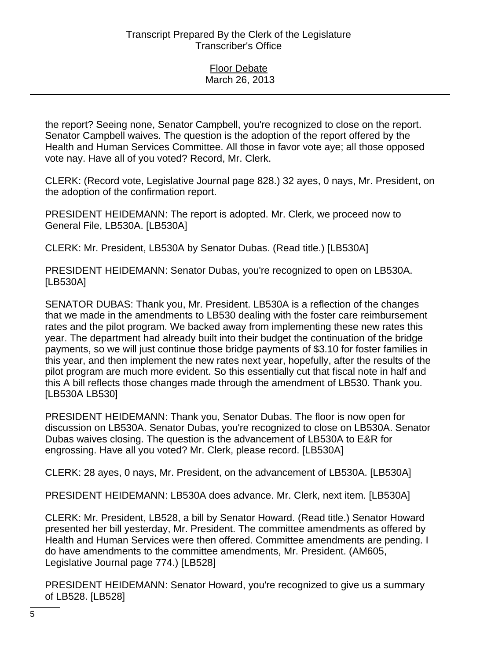the report? Seeing none, Senator Campbell, you're recognized to close on the report. Senator Campbell waives. The question is the adoption of the report offered by the Health and Human Services Committee. All those in favor vote aye; all those opposed vote nay. Have all of you voted? Record, Mr. Clerk.

CLERK: (Record vote, Legislative Journal page 828.) 32 ayes, 0 nays, Mr. President, on the adoption of the confirmation report.

PRESIDENT HEIDEMANN: The report is adopted. Mr. Clerk, we proceed now to General File, LB530A. [LB530A]

CLERK: Mr. President, LB530A by Senator Dubas. (Read title.) [LB530A]

PRESIDENT HEIDEMANN: Senator Dubas, you're recognized to open on LB530A. [LB530A]

SENATOR DUBAS: Thank you, Mr. President. LB530A is a reflection of the changes that we made in the amendments to LB530 dealing with the foster care reimbursement rates and the pilot program. We backed away from implementing these new rates this year. The department had already built into their budget the continuation of the bridge payments, so we will just continue those bridge payments of \$3.10 for foster families in this year, and then implement the new rates next year, hopefully, after the results of the pilot program are much more evident. So this essentially cut that fiscal note in half and this A bill reflects those changes made through the amendment of LB530. Thank you. [LB530A LB530]

PRESIDENT HEIDEMANN: Thank you, Senator Dubas. The floor is now open for discussion on LB530A. Senator Dubas, you're recognized to close on LB530A. Senator Dubas waives closing. The question is the advancement of LB530A to E&R for engrossing. Have all you voted? Mr. Clerk, please record. [LB530A]

CLERK: 28 ayes, 0 nays, Mr. President, on the advancement of LB530A. [LB530A]

PRESIDENT HEIDEMANN: LB530A does advance. Mr. Clerk, next item. [LB530A]

CLERK: Mr. President, LB528, a bill by Senator Howard. (Read title.) Senator Howard presented her bill yesterday, Mr. President. The committee amendments as offered by Health and Human Services were then offered. Committee amendments are pending. I do have amendments to the committee amendments, Mr. President. (AM605, Legislative Journal page 774.) [LB528]

PRESIDENT HEIDEMANN: Senator Howard, you're recognized to give us a summary of LB528. [LB528]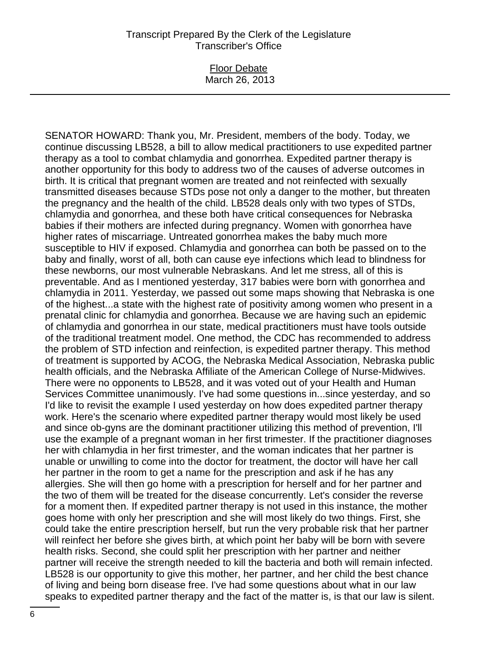#### Floor Debate March 26, 2013

SENATOR HOWARD: Thank you, Mr. President, members of the body. Today, we continue discussing LB528, a bill to allow medical practitioners to use expedited partner therapy as a tool to combat chlamydia and gonorrhea. Expedited partner therapy is another opportunity for this body to address two of the causes of adverse outcomes in birth. It is critical that pregnant women are treated and not reinfected with sexually transmitted diseases because STDs pose not only a danger to the mother, but threaten the pregnancy and the health of the child. LB528 deals only with two types of STDs, chlamydia and gonorrhea, and these both have critical consequences for Nebraska babies if their mothers are infected during pregnancy. Women with gonorrhea have higher rates of miscarriage. Untreated gonorrhea makes the baby much more susceptible to HIV if exposed. Chlamydia and gonorrhea can both be passed on to the baby and finally, worst of all, both can cause eye infections which lead to blindness for these newborns, our most vulnerable Nebraskans. And let me stress, all of this is preventable. And as I mentioned yesterday, 317 babies were born with gonorrhea and chlamydia in 2011. Yesterday, we passed out some maps showing that Nebraska is one of the highest...a state with the highest rate of positivity among women who present in a prenatal clinic for chlamydia and gonorrhea. Because we are having such an epidemic of chlamydia and gonorrhea in our state, medical practitioners must have tools outside of the traditional treatment model. One method, the CDC has recommended to address the problem of STD infection and reinfection, is expedited partner therapy. This method of treatment is supported by ACOG, the Nebraska Medical Association, Nebraska public health officials, and the Nebraska Affiliate of the American College of Nurse-Midwives. There were no opponents to LB528, and it was voted out of your Health and Human Services Committee unanimously. I've had some questions in...since yesterday, and so I'd like to revisit the example I used yesterday on how does expedited partner therapy work. Here's the scenario where expedited partner therapy would most likely be used and since ob-gyns are the dominant practitioner utilizing this method of prevention, I'll use the example of a pregnant woman in her first trimester. If the practitioner diagnoses her with chlamydia in her first trimester, and the woman indicates that her partner is unable or unwilling to come into the doctor for treatment, the doctor will have her call her partner in the room to get a name for the prescription and ask if he has any allergies. She will then go home with a prescription for herself and for her partner and the two of them will be treated for the disease concurrently. Let's consider the reverse for a moment then. If expedited partner therapy is not used in this instance, the mother goes home with only her prescription and she will most likely do two things. First, she could take the entire prescription herself, but run the very probable risk that her partner will reinfect her before she gives birth, at which point her baby will be born with severe health risks. Second, she could split her prescription with her partner and neither partner will receive the strength needed to kill the bacteria and both will remain infected. LB528 is our opportunity to give this mother, her partner, and her child the best chance of living and being born disease free. I've had some questions about what in our law speaks to expedited partner therapy and the fact of the matter is, is that our law is silent.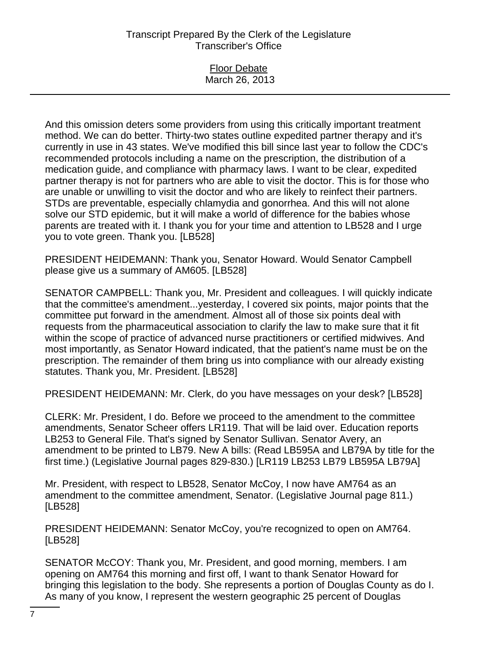#### Floor Debate March 26, 2013

And this omission deters some providers from using this critically important treatment method. We can do better. Thirty-two states outline expedited partner therapy and it's currently in use in 43 states. We've modified this bill since last year to follow the CDC's recommended protocols including a name on the prescription, the distribution of a medication guide, and compliance with pharmacy laws. I want to be clear, expedited partner therapy is not for partners who are able to visit the doctor. This is for those who are unable or unwilling to visit the doctor and who are likely to reinfect their partners. STDs are preventable, especially chlamydia and gonorrhea. And this will not alone solve our STD epidemic, but it will make a world of difference for the babies whose parents are treated with it. I thank you for your time and attention to LB528 and I urge you to vote green. Thank you. [LB528]

PRESIDENT HEIDEMANN: Thank you, Senator Howard. Would Senator Campbell please give us a summary of AM605. [LB528]

SENATOR CAMPBELL: Thank you, Mr. President and colleagues. I will quickly indicate that the committee's amendment...yesterday, I covered six points, major points that the committee put forward in the amendment. Almost all of those six points deal with requests from the pharmaceutical association to clarify the law to make sure that it fit within the scope of practice of advanced nurse practitioners or certified midwives. And most importantly, as Senator Howard indicated, that the patient's name must be on the prescription. The remainder of them bring us into compliance with our already existing statutes. Thank you, Mr. President. [LB528]

PRESIDENT HEIDEMANN: Mr. Clerk, do you have messages on your desk? [LB528]

CLERK: Mr. President, I do. Before we proceed to the amendment to the committee amendments, Senator Scheer offers LR119. That will be laid over. Education reports LB253 to General File. That's signed by Senator Sullivan. Senator Avery, an amendment to be printed to LB79. New A bills: (Read LB595A and LB79A by title for the first time.) (Legislative Journal pages 829-830.) [LR119 LB253 LB79 LB595A LB79A]

Mr. President, with respect to LB528, Senator McCoy, I now have AM764 as an amendment to the committee amendment, Senator. (Legislative Journal page 811.) [LB528]

PRESIDENT HEIDEMANN: Senator McCoy, you're recognized to open on AM764. [LB528]

SENATOR McCOY: Thank you, Mr. President, and good morning, members. I am opening on AM764 this morning and first off, I want to thank Senator Howard for bringing this legislation to the body. She represents a portion of Douglas County as do I. As many of you know, I represent the western geographic 25 percent of Douglas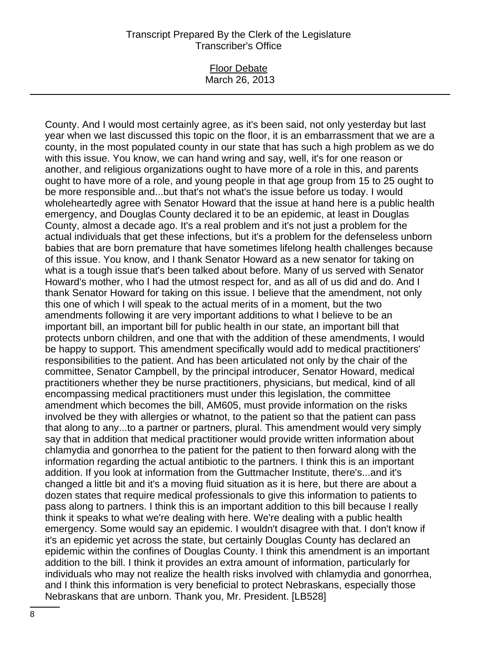#### Floor Debate March 26, 2013

County. And I would most certainly agree, as it's been said, not only yesterday but last year when we last discussed this topic on the floor, it is an embarrassment that we are a county, in the most populated county in our state that has such a high problem as we do with this issue. You know, we can hand wring and say, well, it's for one reason or another, and religious organizations ought to have more of a role in this, and parents ought to have more of a role, and young people in that age group from 15 to 25 ought to be more responsible and...but that's not what's the issue before us today. I would wholeheartedly agree with Senator Howard that the issue at hand here is a public health emergency, and Douglas County declared it to be an epidemic, at least in Douglas County, almost a decade ago. It's a real problem and it's not just a problem for the actual individuals that get these infections, but it's a problem for the defenseless unborn babies that are born premature that have sometimes lifelong health challenges because of this issue. You know, and I thank Senator Howard as a new senator for taking on what is a tough issue that's been talked about before. Many of us served with Senator Howard's mother, who I had the utmost respect for, and as all of us did and do. And I thank Senator Howard for taking on this issue. I believe that the amendment, not only this one of which I will speak to the actual merits of in a moment, but the two amendments following it are very important additions to what I believe to be an important bill, an important bill for public health in our state, an important bill that protects unborn children, and one that with the addition of these amendments, I would be happy to support. This amendment specifically would add to medical practitioners' responsibilities to the patient. And has been articulated not only by the chair of the committee, Senator Campbell, by the principal introducer, Senator Howard, medical practitioners whether they be nurse practitioners, physicians, but medical, kind of all encompassing medical practitioners must under this legislation, the committee amendment which becomes the bill, AM605, must provide information on the risks involved be they with allergies or whatnot, to the patient so that the patient can pass that along to any...to a partner or partners, plural. This amendment would very simply say that in addition that medical practitioner would provide written information about chlamydia and gonorrhea to the patient for the patient to then forward along with the information regarding the actual antibiotic to the partners. I think this is an important addition. If you look at information from the Guttmacher Institute, there's...and it's changed a little bit and it's a moving fluid situation as it is here, but there are about a dozen states that require medical professionals to give this information to patients to pass along to partners. I think this is an important addition to this bill because I really think it speaks to what we're dealing with here. We're dealing with a public health emergency. Some would say an epidemic. I wouldn't disagree with that. I don't know if it's an epidemic yet across the state, but certainly Douglas County has declared an epidemic within the confines of Douglas County. I think this amendment is an important addition to the bill. I think it provides an extra amount of information, particularly for individuals who may not realize the health risks involved with chlamydia and gonorrhea, and I think this information is very beneficial to protect Nebraskans, especially those Nebraskans that are unborn. Thank you, Mr. President. [LB528]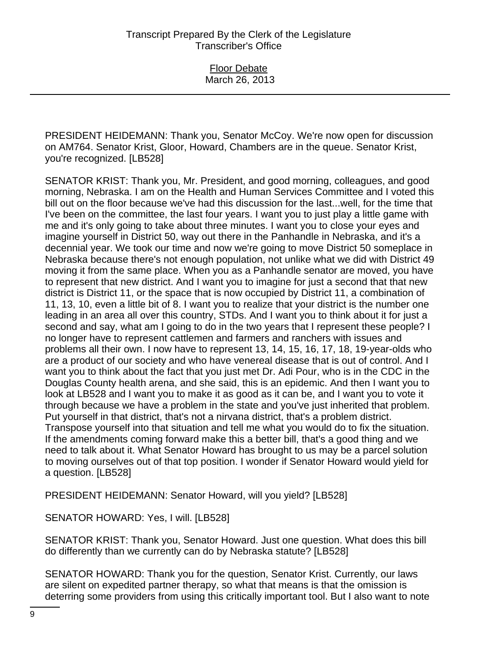PRESIDENT HEIDEMANN: Thank you, Senator McCoy. We're now open for discussion on AM764. Senator Krist, Gloor, Howard, Chambers are in the queue. Senator Krist, you're recognized. [LB528]

SENATOR KRIST: Thank you, Mr. President, and good morning, colleagues, and good morning, Nebraska. I am on the Health and Human Services Committee and I voted this bill out on the floor because we've had this discussion for the last...well, for the time that I've been on the committee, the last four years. I want you to just play a little game with me and it's only going to take about three minutes. I want you to close your eyes and imagine yourself in District 50, way out there in the Panhandle in Nebraska, and it's a decennial year. We took our time and now we're going to move District 50 someplace in Nebraska because there's not enough population, not unlike what we did with District 49 moving it from the same place. When you as a Panhandle senator are moved, you have to represent that new district. And I want you to imagine for just a second that that new district is District 11, or the space that is now occupied by District 11, a combination of 11, 13, 10, even a little bit of 8. I want you to realize that your district is the number one leading in an area all over this country, STDs. And I want you to think about it for just a second and say, what am I going to do in the two years that I represent these people? I no longer have to represent cattlemen and farmers and ranchers with issues and problems all their own. I now have to represent 13, 14, 15, 16, 17, 18, 19-year-olds who are a product of our society and who have venereal disease that is out of control. And I want you to think about the fact that you just met Dr. Adi Pour, who is in the CDC in the Douglas County health arena, and she said, this is an epidemic. And then I want you to look at LB528 and I want you to make it as good as it can be, and I want you to vote it through because we have a problem in the state and you've just inherited that problem. Put yourself in that district, that's not a nirvana district, that's a problem district. Transpose yourself into that situation and tell me what you would do to fix the situation. If the amendments coming forward make this a better bill, that's a good thing and we need to talk about it. What Senator Howard has brought to us may be a parcel solution to moving ourselves out of that top position. I wonder if Senator Howard would yield for a question. [LB528]

PRESIDENT HEIDEMANN: Senator Howard, will you yield? [LB528]

SENATOR HOWARD: Yes, I will. [LB528]

SENATOR KRIST: Thank you, Senator Howard. Just one question. What does this bill do differently than we currently can do by Nebraska statute? [LB528]

SENATOR HOWARD: Thank you for the question, Senator Krist. Currently, our laws are silent on expedited partner therapy, so what that means is that the omission is deterring some providers from using this critically important tool. But I also want to note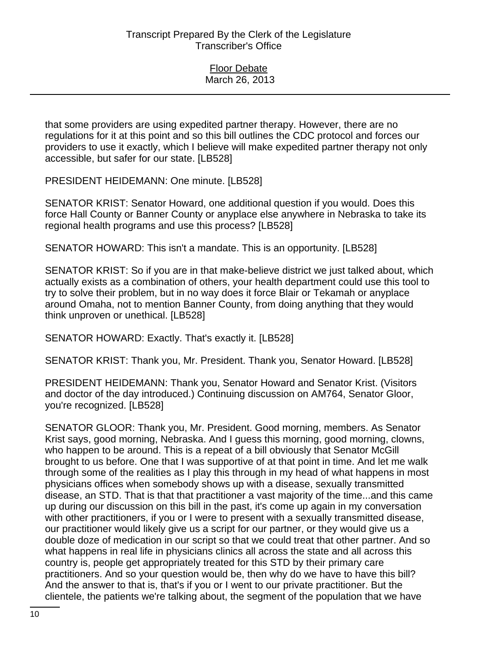that some providers are using expedited partner therapy. However, there are no regulations for it at this point and so this bill outlines the CDC protocol and forces our providers to use it exactly, which I believe will make expedited partner therapy not only accessible, but safer for our state. [LB528]

PRESIDENT HEIDEMANN: One minute. [LB528]

SENATOR KRIST: Senator Howard, one additional question if you would. Does this force Hall County or Banner County or anyplace else anywhere in Nebraska to take its regional health programs and use this process? [LB528]

SENATOR HOWARD: This isn't a mandate. This is an opportunity. [LB528]

SENATOR KRIST: So if you are in that make-believe district we just talked about, which actually exists as a combination of others, your health department could use this tool to try to solve their problem, but in no way does it force Blair or Tekamah or anyplace around Omaha, not to mention Banner County, from doing anything that they would think unproven or unethical. [LB528]

SENATOR HOWARD: Exactly. That's exactly it. [LB528]

SENATOR KRIST: Thank you, Mr. President. Thank you, Senator Howard. [LB528]

PRESIDENT HEIDEMANN: Thank you, Senator Howard and Senator Krist. (Visitors and doctor of the day introduced.) Continuing discussion on AM764, Senator Gloor, you're recognized. [LB528]

SENATOR GLOOR: Thank you, Mr. President. Good morning, members. As Senator Krist says, good morning, Nebraska. And I guess this morning, good morning, clowns, who happen to be around. This is a repeat of a bill obviously that Senator McGill brought to us before. One that I was supportive of at that point in time. And let me walk through some of the realities as I play this through in my head of what happens in most physicians offices when somebody shows up with a disease, sexually transmitted disease, an STD. That is that that practitioner a vast majority of the time...and this came up during our discussion on this bill in the past, it's come up again in my conversation with other practitioners, if you or I were to present with a sexually transmitted disease, our practitioner would likely give us a script for our partner, or they would give us a double doze of medication in our script so that we could treat that other partner. And so what happens in real life in physicians clinics all across the state and all across this country is, people get appropriately treated for this STD by their primary care practitioners. And so your question would be, then why do we have to have this bill? And the answer to that is, that's if you or I went to our private practitioner. But the clientele, the patients we're talking about, the segment of the population that we have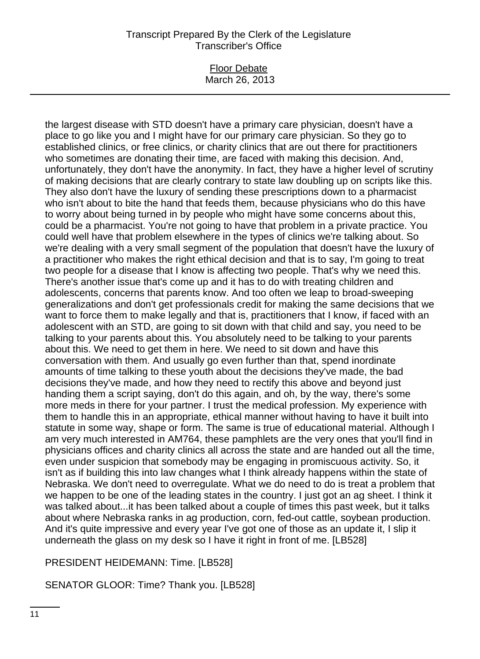#### Floor Debate March 26, 2013

the largest disease with STD doesn't have a primary care physician, doesn't have a place to go like you and I might have for our primary care physician. So they go to established clinics, or free clinics, or charity clinics that are out there for practitioners who sometimes are donating their time, are faced with making this decision. And, unfortunately, they don't have the anonymity. In fact, they have a higher level of scrutiny of making decisions that are clearly contrary to state law doubling up on scripts like this. They also don't have the luxury of sending these prescriptions down to a pharmacist who isn't about to bite the hand that feeds them, because physicians who do this have to worry about being turned in by people who might have some concerns about this, could be a pharmacist. You're not going to have that problem in a private practice. You could well have that problem elsewhere in the types of clinics we're talking about. So we're dealing with a very small segment of the population that doesn't have the luxury of a practitioner who makes the right ethical decision and that is to say, I'm going to treat two people for a disease that I know is affecting two people. That's why we need this. There's another issue that's come up and it has to do with treating children and adolescents, concerns that parents know. And too often we leap to broad-sweeping generalizations and don't get professionals credit for making the same decisions that we want to force them to make legally and that is, practitioners that I know, if faced with an adolescent with an STD, are going to sit down with that child and say, you need to be talking to your parents about this. You absolutely need to be talking to your parents about this. We need to get them in here. We need to sit down and have this conversation with them. And usually go even further than that, spend inordinate amounts of time talking to these youth about the decisions they've made, the bad decisions they've made, and how they need to rectify this above and beyond just handing them a script saying, don't do this again, and oh, by the way, there's some more meds in there for your partner. I trust the medical profession. My experience with them to handle this in an appropriate, ethical manner without having to have it built into statute in some way, shape or form. The same is true of educational material. Although I am very much interested in AM764, these pamphlets are the very ones that you'll find in physicians offices and charity clinics all across the state and are handed out all the time, even under suspicion that somebody may be engaging in promiscuous activity. So, it isn't as if building this into law changes what I think already happens within the state of Nebraska. We don't need to overregulate. What we do need to do is treat a problem that we happen to be one of the leading states in the country. I just got an ag sheet. I think it was talked about...it has been talked about a couple of times this past week, but it talks about where Nebraska ranks in ag production, corn, fed-out cattle, soybean production. And it's quite impressive and every year I've got one of those as an update it, I slip it underneath the glass on my desk so I have it right in front of me. [LB528]

# PRESIDENT HEIDEMANN: Time. [LB528]

# SENATOR GLOOR: Time? Thank you. [LB528]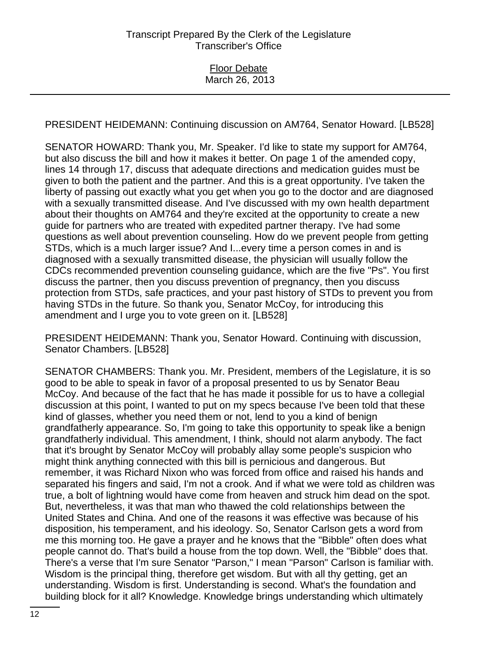PRESIDENT HEIDEMANN: Continuing discussion on AM764, Senator Howard. [LB528]

SENATOR HOWARD: Thank you, Mr. Speaker. I'd like to state my support for AM764, but also discuss the bill and how it makes it better. On page 1 of the amended copy, lines 14 through 17, discuss that adequate directions and medication guides must be given to both the patient and the partner. And this is a great opportunity. I've taken the liberty of passing out exactly what you get when you go to the doctor and are diagnosed with a sexually transmitted disease. And I've discussed with my own health department about their thoughts on AM764 and they're excited at the opportunity to create a new guide for partners who are treated with expedited partner therapy. I've had some questions as well about prevention counseling. How do we prevent people from getting STDs, which is a much larger issue? And I...every time a person comes in and is diagnosed with a sexually transmitted disease, the physician will usually follow the CDCs recommended prevention counseling guidance, which are the five "Ps". You first discuss the partner, then you discuss prevention of pregnancy, then you discuss protection from STDs, safe practices, and your past history of STDs to prevent you from having STDs in the future. So thank you, Senator McCoy, for introducing this amendment and I urge you to vote green on it. [LB528]

PRESIDENT HEIDEMANN: Thank you, Senator Howard. Continuing with discussion, Senator Chambers. [LB528]

SENATOR CHAMBERS: Thank you. Mr. President, members of the Legislature, it is so good to be able to speak in favor of a proposal presented to us by Senator Beau McCoy. And because of the fact that he has made it possible for us to have a collegial discussion at this point, I wanted to put on my specs because I've been told that these kind of glasses, whether you need them or not, lend to you a kind of benign grandfatherly appearance. So, I'm going to take this opportunity to speak like a benign grandfatherly individual. This amendment, I think, should not alarm anybody. The fact that it's brought by Senator McCoy will probably allay some people's suspicion who might think anything connected with this bill is pernicious and dangerous. But remember, it was Richard Nixon who was forced from office and raised his hands and separated his fingers and said, I'm not a crook. And if what we were told as children was true, a bolt of lightning would have come from heaven and struck him dead on the spot. But, nevertheless, it was that man who thawed the cold relationships between the United States and China. And one of the reasons it was effective was because of his disposition, his temperament, and his ideology. So, Senator Carlson gets a word from me this morning too. He gave a prayer and he knows that the "Bibble" often does what people cannot do. That's build a house from the top down. Well, the "Bibble" does that. There's a verse that I'm sure Senator "Parson," I mean "Parson" Carlson is familiar with. Wisdom is the principal thing, therefore get wisdom. But with all thy getting, get an understanding. Wisdom is first. Understanding is second. What's the foundation and building block for it all? Knowledge. Knowledge brings understanding which ultimately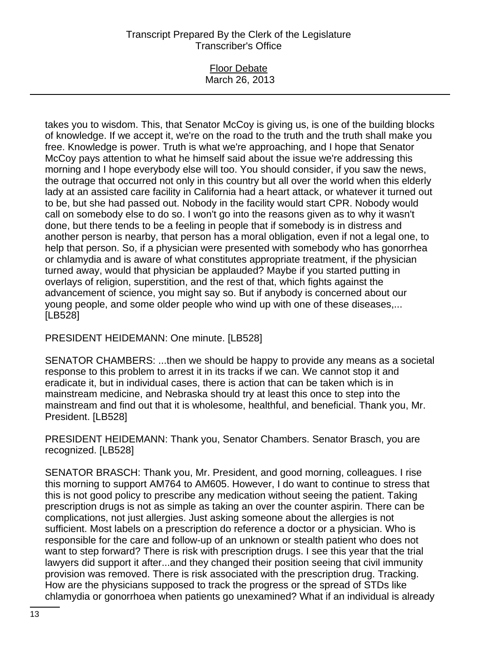### Floor Debate March 26, 2013

takes you to wisdom. This, that Senator McCoy is giving us, is one of the building blocks of knowledge. If we accept it, we're on the road to the truth and the truth shall make you free. Knowledge is power. Truth is what we're approaching, and I hope that Senator McCoy pays attention to what he himself said about the issue we're addressing this morning and I hope everybody else will too. You should consider, if you saw the news, the outrage that occurred not only in this country but all over the world when this elderly lady at an assisted care facility in California had a heart attack, or whatever it turned out to be, but she had passed out. Nobody in the facility would start CPR. Nobody would call on somebody else to do so. I won't go into the reasons given as to why it wasn't done, but there tends to be a feeling in people that if somebody is in distress and another person is nearby, that person has a moral obligation, even if not a legal one, to help that person. So, if a physician were presented with somebody who has gonorrhea or chlamydia and is aware of what constitutes appropriate treatment, if the physician turned away, would that physician be applauded? Maybe if you started putting in overlays of religion, superstition, and the rest of that, which fights against the advancement of science, you might say so. But if anybody is concerned about our young people, and some older people who wind up with one of these diseases,... [LB528]

PRESIDENT HEIDEMANN: One minute. [LB528]

SENATOR CHAMBERS: ...then we should be happy to provide any means as a societal response to this problem to arrest it in its tracks if we can. We cannot stop it and eradicate it, but in individual cases, there is action that can be taken which is in mainstream medicine, and Nebraska should try at least this once to step into the mainstream and find out that it is wholesome, healthful, and beneficial. Thank you, Mr. President. [LB528]

PRESIDENT HEIDEMANN: Thank you, Senator Chambers. Senator Brasch, you are recognized. [LB528]

SENATOR BRASCH: Thank you, Mr. President, and good morning, colleagues. I rise this morning to support AM764 to AM605. However, I do want to continue to stress that this is not good policy to prescribe any medication without seeing the patient. Taking prescription drugs is not as simple as taking an over the counter aspirin. There can be complications, not just allergies. Just asking someone about the allergies is not sufficient. Most labels on a prescription do reference a doctor or a physician. Who is responsible for the care and follow-up of an unknown or stealth patient who does not want to step forward? There is risk with prescription drugs. I see this year that the trial lawyers did support it after...and they changed their position seeing that civil immunity provision was removed. There is risk associated with the prescription drug. Tracking. How are the physicians supposed to track the progress or the spread of STDs like chlamydia or gonorrhoea when patients go unexamined? What if an individual is already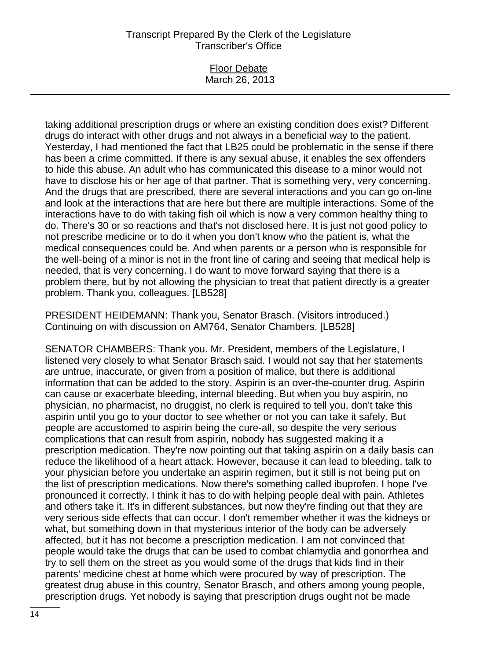### Floor Debate March 26, 2013

taking additional prescription drugs or where an existing condition does exist? Different drugs do interact with other drugs and not always in a beneficial way to the patient. Yesterday, I had mentioned the fact that LB25 could be problematic in the sense if there has been a crime committed. If there is any sexual abuse, it enables the sex offenders to hide this abuse. An adult who has communicated this disease to a minor would not have to disclose his or her age of that partner. That is something very, very concerning. And the drugs that are prescribed, there are several interactions and you can go on-line and look at the interactions that are here but there are multiple interactions. Some of the interactions have to do with taking fish oil which is now a very common healthy thing to do. There's 30 or so reactions and that's not disclosed here. It is just not good policy to not prescribe medicine or to do it when you don't know who the patient is, what the medical consequences could be. And when parents or a person who is responsible for the well-being of a minor is not in the front line of caring and seeing that medical help is needed, that is very concerning. I do want to move forward saying that there is a problem there, but by not allowing the physician to treat that patient directly is a greater problem. Thank you, colleagues. [LB528]

PRESIDENT HEIDEMANN: Thank you, Senator Brasch. (Visitors introduced.) Continuing on with discussion on AM764, Senator Chambers. [LB528]

SENATOR CHAMBERS: Thank you. Mr. President, members of the Legislature, I listened very closely to what Senator Brasch said. I would not say that her statements are untrue, inaccurate, or given from a position of malice, but there is additional information that can be added to the story. Aspirin is an over-the-counter drug. Aspirin can cause or exacerbate bleeding, internal bleeding. But when you buy aspirin, no physician, no pharmacist, no druggist, no clerk is required to tell you, don't take this aspirin until you go to your doctor to see whether or not you can take it safely. But people are accustomed to aspirin being the cure-all, so despite the very serious complications that can result from aspirin, nobody has suggested making it a prescription medication. They're now pointing out that taking aspirin on a daily basis can reduce the likelihood of a heart attack. However, because it can lead to bleeding, talk to your physician before you undertake an aspirin regimen, but it still is not being put on the list of prescription medications. Now there's something called ibuprofen. I hope I've pronounced it correctly. I think it has to do with helping people deal with pain. Athletes and others take it. It's in different substances, but now they're finding out that they are very serious side effects that can occur. I don't remember whether it was the kidneys or what, but something down in that mysterious interior of the body can be adversely affected, but it has not become a prescription medication. I am not convinced that people would take the drugs that can be used to combat chlamydia and gonorrhea and try to sell them on the street as you would some of the drugs that kids find in their parents' medicine chest at home which were procured by way of prescription. The greatest drug abuse in this country, Senator Brasch, and others among young people, prescription drugs. Yet nobody is saying that prescription drugs ought not be made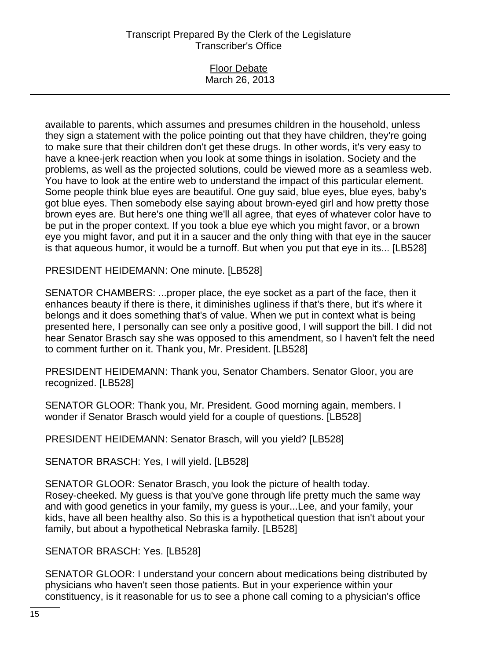| <b>Floor Debate</b> |
|---------------------|
| March 26, 2013      |
|                     |

available to parents, which assumes and presumes children in the household, unless they sign a statement with the police pointing out that they have children, they're going to make sure that their children don't get these drugs. In other words, it's very easy to have a knee-jerk reaction when you look at some things in isolation. Society and the problems, as well as the projected solutions, could be viewed more as a seamless web. You have to look at the entire web to understand the impact of this particular element. Some people think blue eyes are beautiful. One guy said, blue eyes, blue eyes, baby's got blue eyes. Then somebody else saying about brown-eyed girl and how pretty those brown eyes are. But here's one thing we'll all agree, that eyes of whatever color have to be put in the proper context. If you took a blue eye which you might favor, or a brown eye you might favor, and put it in a saucer and the only thing with that eye in the saucer is that aqueous humor, it would be a turnoff. But when you put that eye in its... [LB528]

PRESIDENT HEIDEMANN: One minute. [LB528]

SENATOR CHAMBERS: ...proper place, the eye socket as a part of the face, then it enhances beauty if there is there, it diminishes ugliness if that's there, but it's where it belongs and it does something that's of value. When we put in context what is being presented here, I personally can see only a positive good, I will support the bill. I did not hear Senator Brasch say she was opposed to this amendment, so I haven't felt the need to comment further on it. Thank you, Mr. President. [LB528]

PRESIDENT HEIDEMANN: Thank you, Senator Chambers. Senator Gloor, you are recognized. [LB528]

SENATOR GLOOR: Thank you, Mr. President. Good morning again, members. I wonder if Senator Brasch would yield for a couple of questions. [LB528]

PRESIDENT HEIDEMANN: Senator Brasch, will you yield? [LB528]

SENATOR BRASCH: Yes, I will yield. [LB528]

SENATOR GLOOR: Senator Brasch, you look the picture of health today. Rosey-cheeked. My guess is that you've gone through life pretty much the same way and with good genetics in your family, my guess is your...Lee, and your family, your kids, have all been healthy also. So this is a hypothetical question that isn't about your family, but about a hypothetical Nebraska family. [LB528]

SENATOR BRASCH: Yes. [LB528]

SENATOR GLOOR: I understand your concern about medications being distributed by physicians who haven't seen those patients. But in your experience within your constituency, is it reasonable for us to see a phone call coming to a physician's office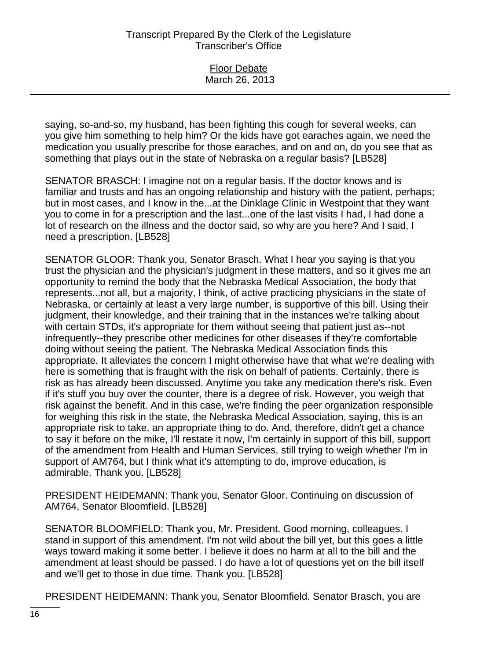| <b>Floor Debate</b> |  |
|---------------------|--|
| March 26, 2013      |  |
|                     |  |
|                     |  |

saying, so-and-so, my husband, has been fighting this cough for several weeks, can you give him something to help him? Or the kids have got earaches again, we need the medication you usually prescribe for those earaches, and on and on, do you see that as something that plays out in the state of Nebraska on a regular basis? [LB528]

SENATOR BRASCH: I imagine not on a regular basis. If the doctor knows and is familiar and trusts and has an ongoing relationship and history with the patient, perhaps; but in most cases, and I know in the...at the Dinklage Clinic in Westpoint that they want you to come in for a prescription and the last...one of the last visits I had, I had done a lot of research on the illness and the doctor said, so why are you here? And I said, I need a prescription. [LB528]

SENATOR GLOOR: Thank you, Senator Brasch. What I hear you saying is that you trust the physician and the physician's judgment in these matters, and so it gives me an opportunity to remind the body that the Nebraska Medical Association, the body that represents...not all, but a majority, I think, of active practicing physicians in the state of Nebraska, or certainly at least a very large number, is supportive of this bill. Using their judgment, their knowledge, and their training that in the instances we're talking about with certain STDs, it's appropriate for them without seeing that patient just as--not infrequently--they prescribe other medicines for other diseases if they're comfortable doing without seeing the patient. The Nebraska Medical Association finds this appropriate. It alleviates the concern I might otherwise have that what we're dealing with here is something that is fraught with the risk on behalf of patients. Certainly, there is risk as has already been discussed. Anytime you take any medication there's risk. Even if it's stuff you buy over the counter, there is a degree of risk. However, you weigh that risk against the benefit. And in this case, we're finding the peer organization responsible for weighing this risk in the state, the Nebraska Medical Association, saying, this is an appropriate risk to take, an appropriate thing to do. And, therefore, didn't get a chance to say it before on the mike, I'll restate it now, I'm certainly in support of this bill, support of the amendment from Health and Human Services, still trying to weigh whether I'm in support of AM764, but I think what it's attempting to do, improve education, is admirable. Thank you. [LB528]

PRESIDENT HEIDEMANN: Thank you, Senator Gloor. Continuing on discussion of AM764, Senator Bloomfield. [LB528]

SENATOR BLOOMFIELD: Thank you, Mr. President. Good morning, colleagues. I stand in support of this amendment. I'm not wild about the bill yet, but this goes a little ways toward making it some better. I believe it does no harm at all to the bill and the amendment at least should be passed. I do have a lot of questions yet on the bill itself and we'll get to those in due time. Thank you. [LB528]

PRESIDENT HEIDEMANN: Thank you, Senator Bloomfield. Senator Brasch, you are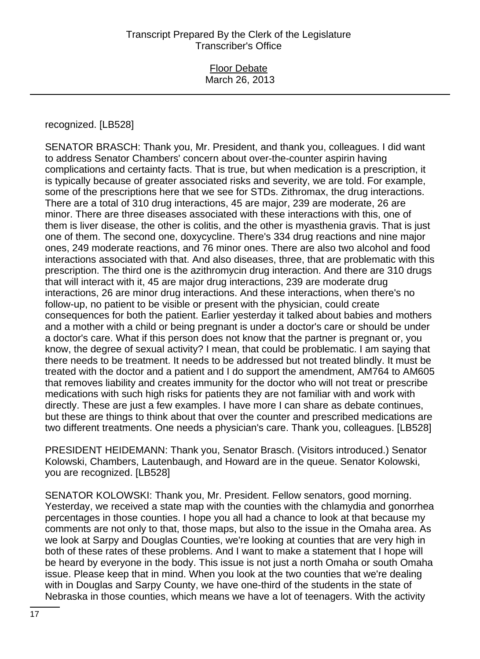## recognized. [LB528]

SENATOR BRASCH: Thank you, Mr. President, and thank you, colleagues. I did want to address Senator Chambers' concern about over-the-counter aspirin having complications and certainty facts. That is true, but when medication is a prescription, it is typically because of greater associated risks and severity, we are told. For example, some of the prescriptions here that we see for STDs. Zithromax, the drug interactions. There are a total of 310 drug interactions, 45 are major, 239 are moderate, 26 are minor. There are three diseases associated with these interactions with this, one of them is liver disease, the other is colitis, and the other is myasthenia gravis. That is just one of them. The second one, doxycycline. There's 334 drug reactions and nine major ones, 249 moderate reactions, and 76 minor ones. There are also two alcohol and food interactions associated with that. And also diseases, three, that are problematic with this prescription. The third one is the azithromycin drug interaction. And there are 310 drugs that will interact with it, 45 are major drug interactions, 239 are moderate drug interactions, 26 are minor drug interactions. And these interactions, when there's no follow-up, no patient to be visible or present with the physician, could create consequences for both the patient. Earlier yesterday it talked about babies and mothers and a mother with a child or being pregnant is under a doctor's care or should be under a doctor's care. What if this person does not know that the partner is pregnant or, you know, the degree of sexual activity? I mean, that could be problematic. I am saying that there needs to be treatment. It needs to be addressed but not treated blindly. It must be treated with the doctor and a patient and I do support the amendment, AM764 to AM605 that removes liability and creates immunity for the doctor who will not treat or prescribe medications with such high risks for patients they are not familiar with and work with directly. These are just a few examples. I have more I can share as debate continues, but these are things to think about that over the counter and prescribed medications are two different treatments. One needs a physician's care. Thank you, colleagues. [LB528]

PRESIDENT HEIDEMANN: Thank you, Senator Brasch. (Visitors introduced.) Senator Kolowski, Chambers, Lautenbaugh, and Howard are in the queue. Senator Kolowski, you are recognized. [LB528]

SENATOR KOLOWSKI: Thank you, Mr. President. Fellow senators, good morning. Yesterday, we received a state map with the counties with the chlamydia and gonorrhea percentages in those counties. I hope you all had a chance to look at that because my comments are not only to that, those maps, but also to the issue in the Omaha area. As we look at Sarpy and Douglas Counties, we're looking at counties that are very high in both of these rates of these problems. And I want to make a statement that I hope will be heard by everyone in the body. This issue is not just a north Omaha or south Omaha issue. Please keep that in mind. When you look at the two counties that we're dealing with in Douglas and Sarpy County, we have one-third of the students in the state of Nebraska in those counties, which means we have a lot of teenagers. With the activity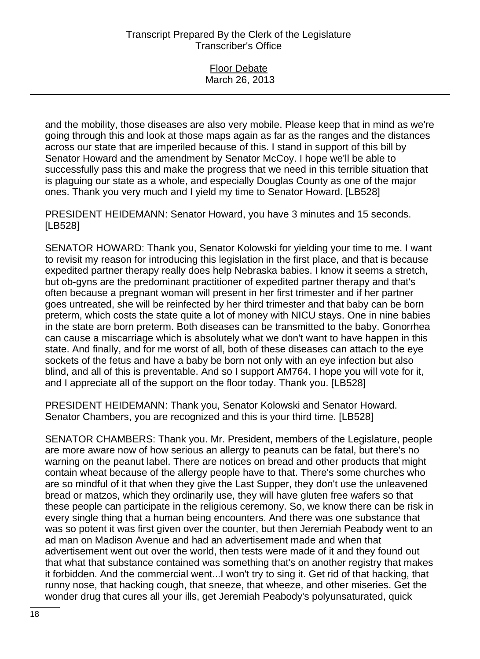|  | <b>Floor Debate</b> |  |
|--|---------------------|--|
|  | March 26, 2013      |  |

and the mobility, those diseases are also very mobile. Please keep that in mind as we're going through this and look at those maps again as far as the ranges and the distances across our state that are imperiled because of this. I stand in support of this bill by Senator Howard and the amendment by Senator McCoy. I hope we'll be able to successfully pass this and make the progress that we need in this terrible situation that is plaguing our state as a whole, and especially Douglas County as one of the major ones. Thank you very much and I yield my time to Senator Howard. [LB528]

PRESIDENT HEIDEMANN: Senator Howard, you have 3 minutes and 15 seconds. [LB528]

SENATOR HOWARD: Thank you, Senator Kolowski for yielding your time to me. I want to revisit my reason for introducing this legislation in the first place, and that is because expedited partner therapy really does help Nebraska babies. I know it seems a stretch, but ob-gyns are the predominant practitioner of expedited partner therapy and that's often because a pregnant woman will present in her first trimester and if her partner goes untreated, she will be reinfected by her third trimester and that baby can be born preterm, which costs the state quite a lot of money with NICU stays. One in nine babies in the state are born preterm. Both diseases can be transmitted to the baby. Gonorrhea can cause a miscarriage which is absolutely what we don't want to have happen in this state. And finally, and for me worst of all, both of these diseases can attach to the eye sockets of the fetus and have a baby be born not only with an eye infection but also blind, and all of this is preventable. And so I support AM764. I hope you will vote for it, and I appreciate all of the support on the floor today. Thank you. [LB528]

PRESIDENT HEIDEMANN: Thank you, Senator Kolowski and Senator Howard. Senator Chambers, you are recognized and this is your third time. [LB528]

SENATOR CHAMBERS: Thank you. Mr. President, members of the Legislature, people are more aware now of how serious an allergy to peanuts can be fatal, but there's no warning on the peanut label. There are notices on bread and other products that might contain wheat because of the allergy people have to that. There's some churches who are so mindful of it that when they give the Last Supper, they don't use the unleavened bread or matzos, which they ordinarily use, they will have gluten free wafers so that these people can participate in the religious ceremony. So, we know there can be risk in every single thing that a human being encounters. And there was one substance that was so potent it was first given over the counter, but then Jeremiah Peabody went to an ad man on Madison Avenue and had an advertisement made and when that advertisement went out over the world, then tests were made of it and they found out that what that substance contained was something that's on another registry that makes it forbidden. And the commercial went...I won't try to sing it. Get rid of that hacking, that runny nose, that hacking cough, that sneeze, that wheeze, and other miseries. Get the wonder drug that cures all your ills, get Jeremiah Peabody's polyunsaturated, quick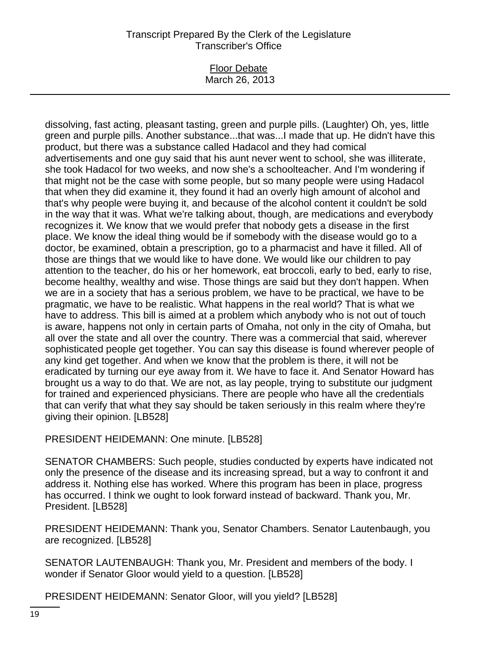Floor Debate March 26, 2013

dissolving, fast acting, pleasant tasting, green and purple pills. (Laughter) Oh, yes, little green and purple pills. Another substance...that was...I made that up. He didn't have this product, but there was a substance called Hadacol and they had comical advertisements and one guy said that his aunt never went to school, she was illiterate, she took Hadacol for two weeks, and now she's a schoolteacher. And I'm wondering if that might not be the case with some people, but so many people were using Hadacol that when they did examine it, they found it had an overly high amount of alcohol and that's why people were buying it, and because of the alcohol content it couldn't be sold in the way that it was. What we're talking about, though, are medications and everybody recognizes it. We know that we would prefer that nobody gets a disease in the first place. We know the ideal thing would be if somebody with the disease would go to a doctor, be examined, obtain a prescription, go to a pharmacist and have it filled. All of those are things that we would like to have done. We would like our children to pay attention to the teacher, do his or her homework, eat broccoli, early to bed, early to rise, become healthy, wealthy and wise. Those things are said but they don't happen. When we are in a society that has a serious problem, we have to be practical, we have to be pragmatic, we have to be realistic. What happens in the real world? That is what we have to address. This bill is aimed at a problem which anybody who is not out of touch is aware, happens not only in certain parts of Omaha, not only in the city of Omaha, but all over the state and all over the country. There was a commercial that said, wherever sophisticated people get together. You can say this disease is found wherever people of any kind get together. And when we know that the problem is there, it will not be eradicated by turning our eye away from it. We have to face it. And Senator Howard has brought us a way to do that. We are not, as lay people, trying to substitute our judgment for trained and experienced physicians. There are people who have all the credentials that can verify that what they say should be taken seriously in this realm where they're giving their opinion. [LB528]

PRESIDENT HEIDEMANN: One minute. [LB528]

SENATOR CHAMBERS: Such people, studies conducted by experts have indicated not only the presence of the disease and its increasing spread, but a way to confront it and address it. Nothing else has worked. Where this program has been in place, progress has occurred. I think we ought to look forward instead of backward. Thank you, Mr. President. [LB528]

PRESIDENT HEIDEMANN: Thank you, Senator Chambers. Senator Lautenbaugh, you are recognized. [LB528]

SENATOR LAUTENBAUGH: Thank you, Mr. President and members of the body. I wonder if Senator Gloor would yield to a question. [LB528]

PRESIDENT HEIDEMANN: Senator Gloor, will you yield? [LB528]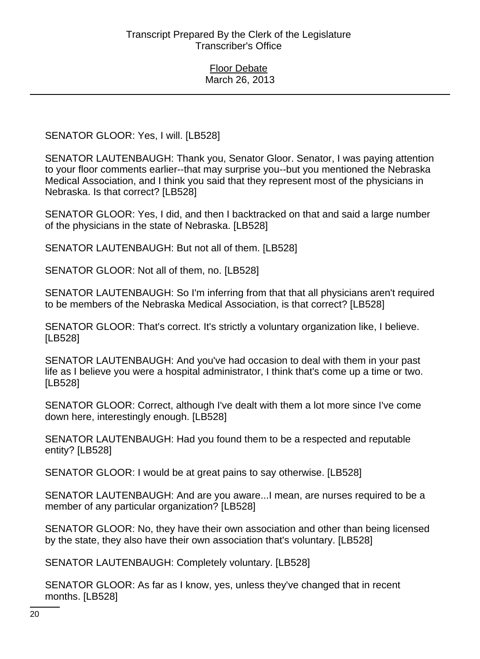SENATOR GLOOR: Yes, I will. [LB528]

SENATOR LAUTENBAUGH: Thank you, Senator Gloor. Senator, I was paying attention to your floor comments earlier--that may surprise you--but you mentioned the Nebraska Medical Association, and I think you said that they represent most of the physicians in Nebraska. Is that correct? [LB528]

SENATOR GLOOR: Yes, I did, and then I backtracked on that and said a large number of the physicians in the state of Nebraska. [LB528]

SENATOR LAUTENBAUGH: But not all of them. [LB528]

SENATOR GLOOR: Not all of them, no. [LB528]

SENATOR LAUTENBAUGH: So I'm inferring from that that all physicians aren't required to be members of the Nebraska Medical Association, is that correct? [LB528]

SENATOR GLOOR: That's correct. It's strictly a voluntary organization like, I believe. [LB528]

SENATOR LAUTENBAUGH: And you've had occasion to deal with them in your past life as I believe you were a hospital administrator, I think that's come up a time or two. [LB528]

SENATOR GLOOR: Correct, although I've dealt with them a lot more since I've come down here, interestingly enough. [LB528]

SENATOR LAUTENBAUGH: Had you found them to be a respected and reputable entity? [LB528]

SENATOR GLOOR: I would be at great pains to say otherwise. [LB528]

SENATOR LAUTENBAUGH: And are you aware...I mean, are nurses required to be a member of any particular organization? [LB528]

SENATOR GLOOR: No, they have their own association and other than being licensed by the state, they also have their own association that's voluntary. [LB528]

SENATOR LAUTENBAUGH: Completely voluntary. [LB528]

SENATOR GLOOR: As far as I know, yes, unless they've changed that in recent months. [LB528]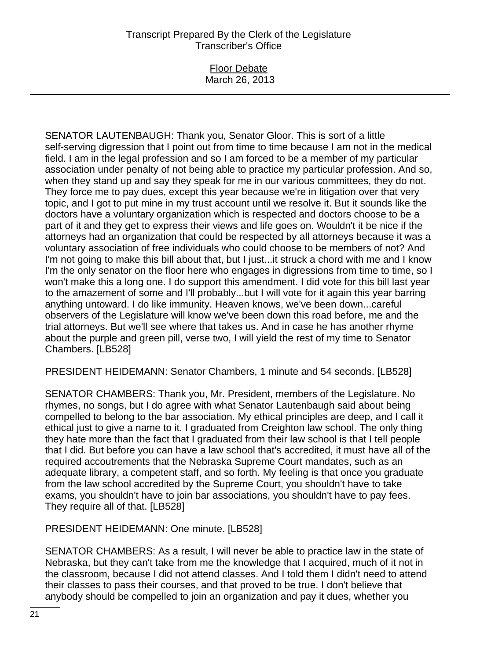## Floor Debate March 26, 2013

SENATOR LAUTENBAUGH: Thank you, Senator Gloor. This is sort of a little self-serving digression that I point out from time to time because I am not in the medical field. I am in the legal profession and so I am forced to be a member of my particular association under penalty of not being able to practice my particular profession. And so, when they stand up and say they speak for me in our various committees, they do not. They force me to pay dues, except this year because we're in litigation over that very topic, and I got to put mine in my trust account until we resolve it. But it sounds like the doctors have a voluntary organization which is respected and doctors choose to be a part of it and they get to express their views and life goes on. Wouldn't it be nice if the attorneys had an organization that could be respected by all attorneys because it was a voluntary association of free individuals who could choose to be members of not? And I'm not going to make this bill about that, but I just...it struck a chord with me and I know I'm the only senator on the floor here who engages in digressions from time to time, so I won't make this a long one. I do support this amendment. I did vote for this bill last year to the amazement of some and I'll probably...but I will vote for it again this year barring anything untoward. I do like immunity. Heaven knows, we've been down...careful observers of the Legislature will know we've been down this road before, me and the trial attorneys. But we'll see where that takes us. And in case he has another rhyme about the purple and green pill, verse two, I will yield the rest of my time to Senator Chambers. [LB528]

PRESIDENT HEIDEMANN: Senator Chambers, 1 minute and 54 seconds. [LB528]

SENATOR CHAMBERS: Thank you, Mr. President, members of the Legislature. No rhymes, no songs, but I do agree with what Senator Lautenbaugh said about being compelled to belong to the bar association. My ethical principles are deep, and I call it ethical just to give a name to it. I graduated from Creighton law school. The only thing they hate more than the fact that I graduated from their law school is that I tell people that I did. But before you can have a law school that's accredited, it must have all of the required accoutrements that the Nebraska Supreme Court mandates, such as an adequate library, a competent staff, and so forth. My feeling is that once you graduate from the law school accredited by the Supreme Court, you shouldn't have to take exams, you shouldn't have to join bar associations, you shouldn't have to pay fees. They require all of that. [LB528]

PRESIDENT HEIDEMANN: One minute. [LB528]

SENATOR CHAMBERS: As a result, I will never be able to practice law in the state of Nebraska, but they can't take from me the knowledge that I acquired, much of it not in the classroom, because I did not attend classes. And I told them I didn't need to attend their classes to pass their courses, and that proved to be true. I don't believe that anybody should be compelled to join an organization and pay it dues, whether you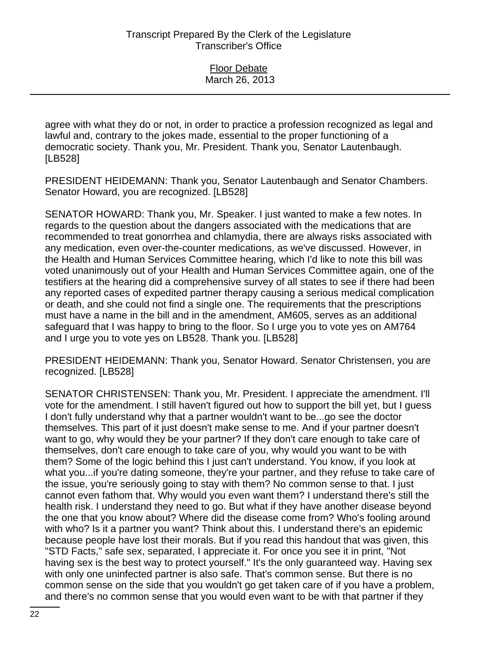agree with what they do or not, in order to practice a profession recognized as legal and lawful and, contrary to the jokes made, essential to the proper functioning of a democratic society. Thank you, Mr. President. Thank you, Senator Lautenbaugh. [LB528]

PRESIDENT HEIDEMANN: Thank you, Senator Lautenbaugh and Senator Chambers. Senator Howard, you are recognized. [LB528]

SENATOR HOWARD: Thank you, Mr. Speaker. I just wanted to make a few notes. In regards to the question about the dangers associated with the medications that are recommended to treat gonorrhea and chlamydia, there are always risks associated with any medication, even over-the-counter medications, as we've discussed. However, in the Health and Human Services Committee hearing, which I'd like to note this bill was voted unanimously out of your Health and Human Services Committee again, one of the testifiers at the hearing did a comprehensive survey of all states to see if there had been any reported cases of expedited partner therapy causing a serious medical complication or death, and she could not find a single one. The requirements that the prescriptions must have a name in the bill and in the amendment, AM605, serves as an additional safeguard that I was happy to bring to the floor. So I urge you to vote yes on AM764 and I urge you to vote yes on LB528. Thank you. [LB528]

PRESIDENT HEIDEMANN: Thank you, Senator Howard. Senator Christensen, you are recognized. [LB528]

SENATOR CHRISTENSEN: Thank you, Mr. President. I appreciate the amendment. I'll vote for the amendment. I still haven't figured out how to support the bill yet, but I guess I don't fully understand why that a partner wouldn't want to be...go see the doctor themselves. This part of it just doesn't make sense to me. And if your partner doesn't want to go, why would they be your partner? If they don't care enough to take care of themselves, don't care enough to take care of you, why would you want to be with them? Some of the logic behind this I just can't understand. You know, if you look at what you...if you're dating someone, they're your partner, and they refuse to take care of the issue, you're seriously going to stay with them? No common sense to that. I just cannot even fathom that. Why would you even want them? I understand there's still the health risk. I understand they need to go. But what if they have another disease beyond the one that you know about? Where did the disease come from? Who's fooling around with who? Is it a partner you want? Think about this. I understand there's an epidemic because people have lost their morals. But if you read this handout that was given, this "STD Facts," safe sex, separated, I appreciate it. For once you see it in print, "Not having sex is the best way to protect yourself." It's the only guaranteed way. Having sex with only one uninfected partner is also safe. That's common sense. But there is no common sense on the side that you wouldn't go get taken care of if you have a problem, and there's no common sense that you would even want to be with that partner if they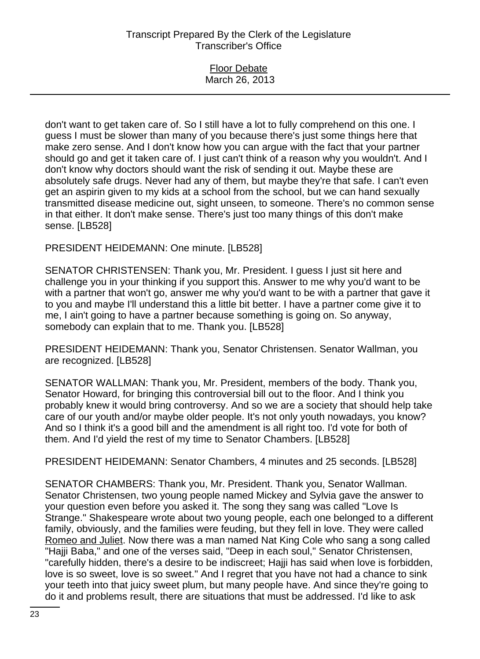| <b>Floor Debate</b> |  |
|---------------------|--|
| March 26, 2013      |  |
|                     |  |

don't want to get taken care of. So I still have a lot to fully comprehend on this one. I guess I must be slower than many of you because there's just some things here that make zero sense. And I don't know how you can argue with the fact that your partner should go and get it taken care of. I just can't think of a reason why you wouldn't. And I don't know why doctors should want the risk of sending it out. Maybe these are absolutely safe drugs. Never had any of them, but maybe they're that safe. I can't even get an aspirin given to my kids at a school from the school, but we can hand sexually transmitted disease medicine out, sight unseen, to someone. There's no common sense in that either. It don't make sense. There's just too many things of this don't make sense. [LB528]

PRESIDENT HEIDEMANN: One minute. [LB528]

SENATOR CHRISTENSEN: Thank you, Mr. President. I guess I just sit here and challenge you in your thinking if you support this. Answer to me why you'd want to be with a partner that won't go, answer me why you'd want to be with a partner that gave it to you and maybe I'll understand this a little bit better. I have a partner come give it to me, I ain't going to have a partner because something is going on. So anyway, somebody can explain that to me. Thank you. [LB528]

PRESIDENT HEIDEMANN: Thank you, Senator Christensen. Senator Wallman, you are recognized. [LB528]

SENATOR WALLMAN: Thank you, Mr. President, members of the body. Thank you, Senator Howard, for bringing this controversial bill out to the floor. And I think you probably knew it would bring controversy. And so we are a society that should help take care of our youth and/or maybe older people. It's not only youth nowadays, you know? And so I think it's a good bill and the amendment is all right too. I'd vote for both of them. And I'd yield the rest of my time to Senator Chambers. [LB528]

PRESIDENT HEIDEMANN: Senator Chambers, 4 minutes and 25 seconds. [LB528]

SENATOR CHAMBERS: Thank you, Mr. President. Thank you, Senator Wallman. Senator Christensen, two young people named Mickey and Sylvia gave the answer to your question even before you asked it. The song they sang was called "Love Is Strange." Shakespeare wrote about two young people, each one belonged to a different family, obviously, and the families were feuding, but they fell in love. They were called Romeo and Juliet. Now there was a man named Nat King Cole who sang a song called "Hajji Baba," and one of the verses said, "Deep in each soul," Senator Christensen, "carefully hidden, there's a desire to be indiscreet; Hajji has said when love is forbidden, love is so sweet, love is so sweet." And I regret that you have not had a chance to sink your teeth into that juicy sweet plum, but many people have. And since they're going to do it and problems result, there are situations that must be addressed. I'd like to ask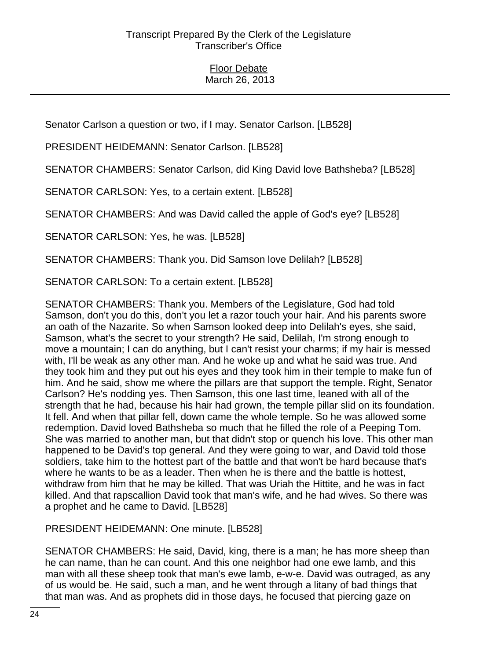Senator Carlson a question or two, if I may. Senator Carlson. [LB528]

PRESIDENT HEIDEMANN: Senator Carlson. [LB528]

SENATOR CHAMBERS: Senator Carlson, did King David love Bathsheba? [LB528]

SENATOR CARLSON: Yes, to a certain extent. [LB528]

SENATOR CHAMBERS: And was David called the apple of God's eye? [LB528]

SENATOR CARLSON: Yes, he was. [LB528]

SENATOR CHAMBERS: Thank you. Did Samson love Delilah? [LB528]

SENATOR CARLSON: To a certain extent. [LB528]

SENATOR CHAMBERS: Thank you. Members of the Legislature, God had told Samson, don't you do this, don't you let a razor touch your hair. And his parents swore an oath of the Nazarite. So when Samson looked deep into Delilah's eyes, she said, Samson, what's the secret to your strength? He said, Delilah, I'm strong enough to move a mountain; I can do anything, but I can't resist your charms; if my hair is messed with, I'll be weak as any other man. And he woke up and what he said was true. And they took him and they put out his eyes and they took him in their temple to make fun of him. And he said, show me where the pillars are that support the temple. Right, Senator Carlson? He's nodding yes. Then Samson, this one last time, leaned with all of the strength that he had, because his hair had grown, the temple pillar slid on its foundation. It fell. And when that pillar fell, down came the whole temple. So he was allowed some redemption. David loved Bathsheba so much that he filled the role of a Peeping Tom. She was married to another man, but that didn't stop or quench his love. This other man happened to be David's top general. And they were going to war, and David told those soldiers, take him to the hottest part of the battle and that won't be hard because that's where he wants to be as a leader. Then when he is there and the battle is hottest, withdraw from him that he may be killed. That was Uriah the Hittite, and he was in fact killed. And that rapscallion David took that man's wife, and he had wives. So there was a prophet and he came to David. [LB528]

PRESIDENT HEIDEMANN: One minute. [LB528]

SENATOR CHAMBERS: He said, David, king, there is a man; he has more sheep than he can name, than he can count. And this one neighbor had one ewe lamb, and this man with all these sheep took that man's ewe lamb, e-w-e. David was outraged, as any of us would be. He said, such a man, and he went through a litany of bad things that that man was. And as prophets did in those days, he focused that piercing gaze on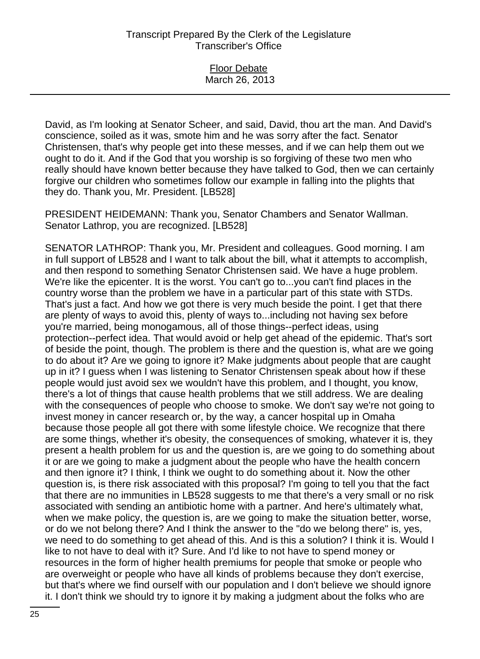Floor Debate March 26, 2013

David, as I'm looking at Senator Scheer, and said, David, thou art the man. And David's conscience, soiled as it was, smote him and he was sorry after the fact. Senator Christensen, that's why people get into these messes, and if we can help them out we ought to do it. And if the God that you worship is so forgiving of these two men who really should have known better because they have talked to God, then we can certainly forgive our children who sometimes follow our example in falling into the plights that they do. Thank you, Mr. President. [LB528]

PRESIDENT HEIDEMANN: Thank you, Senator Chambers and Senator Wallman. Senator Lathrop, you are recognized. [LB528]

SENATOR LATHROP: Thank you, Mr. President and colleagues. Good morning. I am in full support of LB528 and I want to talk about the bill, what it attempts to accomplish, and then respond to something Senator Christensen said. We have a huge problem. We're like the epicenter. It is the worst. You can't go to...you can't find places in the country worse than the problem we have in a particular part of this state with STDs. That's just a fact. And how we got there is very much beside the point. I get that there are plenty of ways to avoid this, plenty of ways to...including not having sex before you're married, being monogamous, all of those things--perfect ideas, using protection--perfect idea. That would avoid or help get ahead of the epidemic. That's sort of beside the point, though. The problem is there and the question is, what are we going to do about it? Are we going to ignore it? Make judgments about people that are caught up in it? I guess when I was listening to Senator Christensen speak about how if these people would just avoid sex we wouldn't have this problem, and I thought, you know, there's a lot of things that cause health problems that we still address. We are dealing with the consequences of people who choose to smoke. We don't say we're not going to invest money in cancer research or, by the way, a cancer hospital up in Omaha because those people all got there with some lifestyle choice. We recognize that there are some things, whether it's obesity, the consequences of smoking, whatever it is, they present a health problem for us and the question is, are we going to do something about it or are we going to make a judgment about the people who have the health concern and then ignore it? I think, I think we ought to do something about it. Now the other question is, is there risk associated with this proposal? I'm going to tell you that the fact that there are no immunities in LB528 suggests to me that there's a very small or no risk associated with sending an antibiotic home with a partner. And here's ultimately what, when we make policy, the question is, are we going to make the situation better, worse, or do we not belong there? And I think the answer to the "do we belong there" is, yes, we need to do something to get ahead of this. And is this a solution? I think it is. Would I like to not have to deal with it? Sure. And I'd like to not have to spend money or resources in the form of higher health premiums for people that smoke or people who are overweight or people who have all kinds of problems because they don't exercise, but that's where we find ourself with our population and I don't believe we should ignore it. I don't think we should try to ignore it by making a judgment about the folks who are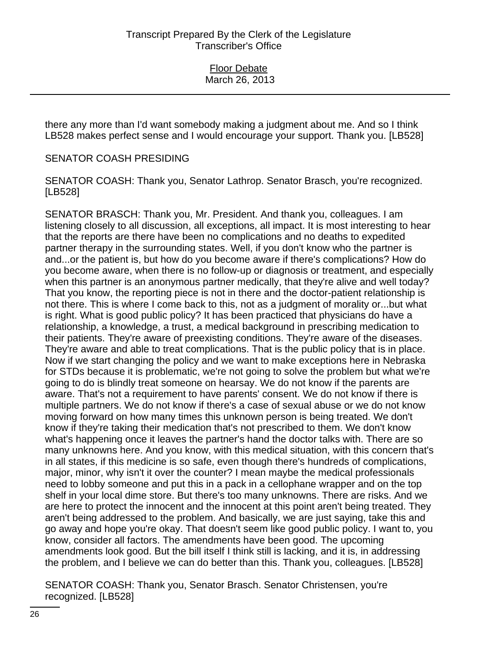there any more than I'd want somebody making a judgment about me. And so I think LB528 makes perfect sense and I would encourage your support. Thank you. [LB528]

SENATOR COASH PRESIDING

SENATOR COASH: Thank you, Senator Lathrop. Senator Brasch, you're recognized. [LB528]

SENATOR BRASCH: Thank you, Mr. President. And thank you, colleagues. I am listening closely to all discussion, all exceptions, all impact. It is most interesting to hear that the reports are there have been no complications and no deaths to expedited partner therapy in the surrounding states. Well, if you don't know who the partner is and...or the patient is, but how do you become aware if there's complications? How do you become aware, when there is no follow-up or diagnosis or treatment, and especially when this partner is an anonymous partner medically, that they're alive and well today? That you know, the reporting piece is not in there and the doctor-patient relationship is not there. This is where I come back to this, not as a judgment of morality or...but what is right. What is good public policy? It has been practiced that physicians do have a relationship, a knowledge, a trust, a medical background in prescribing medication to their patients. They're aware of preexisting conditions. They're aware of the diseases. They're aware and able to treat complications. That is the public policy that is in place. Now if we start changing the policy and we want to make exceptions here in Nebraska for STDs because it is problematic, we're not going to solve the problem but what we're going to do is blindly treat someone on hearsay. We do not know if the parents are aware. That's not a requirement to have parents' consent. We do not know if there is multiple partners. We do not know if there's a case of sexual abuse or we do not know moving forward on how many times this unknown person is being treated. We don't know if they're taking their medication that's not prescribed to them. We don't know what's happening once it leaves the partner's hand the doctor talks with. There are so many unknowns here. And you know, with this medical situation, with this concern that's in all states, if this medicine is so safe, even though there's hundreds of complications, major, minor, why isn't it over the counter? I mean maybe the medical professionals need to lobby someone and put this in a pack in a cellophane wrapper and on the top shelf in your local dime store. But there's too many unknowns. There are risks. And we are here to protect the innocent and the innocent at this point aren't being treated. They aren't being addressed to the problem. And basically, we are just saying, take this and go away and hope you're okay. That doesn't seem like good public policy. I want to, you know, consider all factors. The amendments have been good. The upcoming amendments look good. But the bill itself I think still is lacking, and it is, in addressing the problem, and I believe we can do better than this. Thank you, colleagues. [LB528]

SENATOR COASH: Thank you, Senator Brasch. Senator Christensen, you're recognized. [LB528]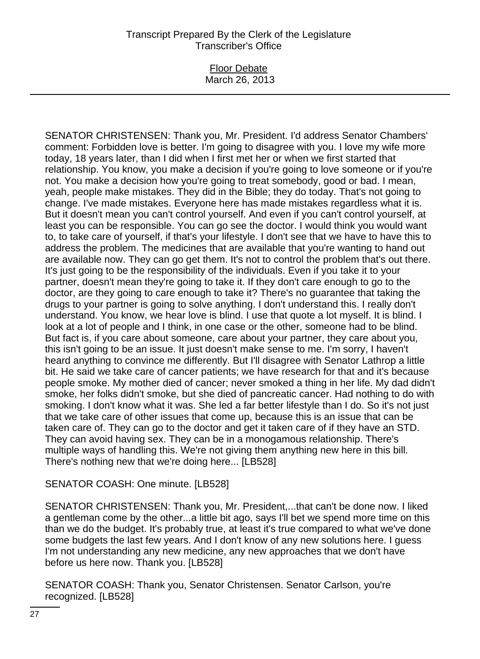Floor Debate March 26, 2013

SENATOR CHRISTENSEN: Thank you, Mr. President. I'd address Senator Chambers' comment: Forbidden love is better. I'm going to disagree with you. I love my wife more today, 18 years later, than I did when I first met her or when we first started that relationship. You know, you make a decision if you're going to love someone or if you're not. You make a decision how you're going to treat somebody, good or bad. I mean, yeah, people make mistakes. They did in the Bible; they do today. That's not going to change. I've made mistakes. Everyone here has made mistakes regardless what it is. But it doesn't mean you can't control yourself. And even if you can't control yourself, at least you can be responsible. You can go see the doctor. I would think you would want to, to take care of yourself, if that's your lifestyle. I don't see that we have to have this to address the problem. The medicines that are available that you're wanting to hand out are available now. They can go get them. It's not to control the problem that's out there. It's just going to be the responsibility of the individuals. Even if you take it to your partner, doesn't mean they're going to take it. If they don't care enough to go to the doctor, are they going to care enough to take it? There's no guarantee that taking the drugs to your partner is going to solve anything. I don't understand this. I really don't understand. You know, we hear love is blind. I use that quote a lot myself. It is blind. I look at a lot of people and I think, in one case or the other, someone had to be blind. But fact is, if you care about someone, care about your partner, they care about you, this isn't going to be an issue. It just doesn't make sense to me. I'm sorry, I haven't heard anything to convince me differently. But I'll disagree with Senator Lathrop a little bit. He said we take care of cancer patients; we have research for that and it's because people smoke. My mother died of cancer; never smoked a thing in her life. My dad didn't smoke, her folks didn't smoke, but she died of pancreatic cancer. Had nothing to do with smoking. I don't know what it was. She led a far better lifestyle than I do. So it's not just that we take care of other issues that come up, because this is an issue that can be taken care of. They can go to the doctor and get it taken care of if they have an STD. They can avoid having sex. They can be in a monogamous relationship. There's multiple ways of handling this. We're not giving them anything new here in this bill. There's nothing new that we're doing here... [LB528]

# SENATOR COASH: One minute. [LB528]

SENATOR CHRISTENSEN: Thank you, Mr. President,...that can't be done now. I liked a gentleman come by the other...a little bit ago, says I'll bet we spend more time on this than we do the budget. It's probably true, at least it's true compared to what we've done some budgets the last few years. And I don't know of any new solutions here. I guess I'm not understanding any new medicine, any new approaches that we don't have before us here now. Thank you. [LB528]

SENATOR COASH: Thank you, Senator Christensen. Senator Carlson, you're recognized. [LB528]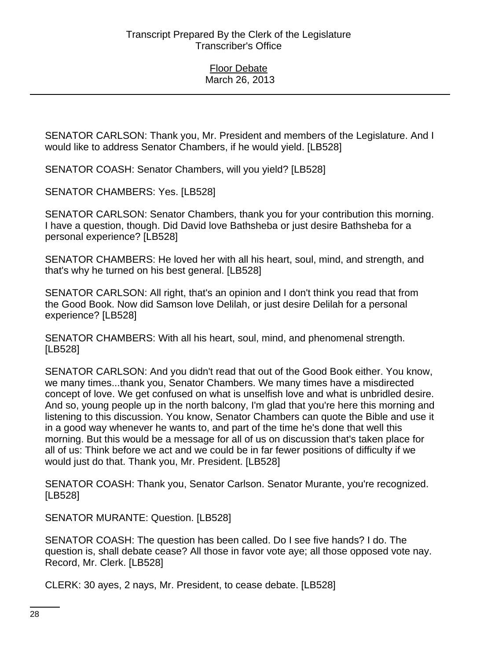SENATOR CARLSON: Thank you, Mr. President and members of the Legislature. And I would like to address Senator Chambers, if he would yield. [LB528]

SENATOR COASH: Senator Chambers, will you yield? [LB528]

SENATOR CHAMBERS: Yes. [LB528]

SENATOR CARLSON: Senator Chambers, thank you for your contribution this morning. I have a question, though. Did David love Bathsheba or just desire Bathsheba for a personal experience? [LB528]

SENATOR CHAMBERS: He loved her with all his heart, soul, mind, and strength, and that's why he turned on his best general. [LB528]

SENATOR CARLSON: All right, that's an opinion and I don't think you read that from the Good Book. Now did Samson love Delilah, or just desire Delilah for a personal experience? [LB528]

SENATOR CHAMBERS: With all his heart, soul, mind, and phenomenal strength. [LB528]

SENATOR CARLSON: And you didn't read that out of the Good Book either. You know, we many times...thank you, Senator Chambers. We many times have a misdirected concept of love. We get confused on what is unselfish love and what is unbridled desire. And so, young people up in the north balcony, I'm glad that you're here this morning and listening to this discussion. You know, Senator Chambers can quote the Bible and use it in a good way whenever he wants to, and part of the time he's done that well this morning. But this would be a message for all of us on discussion that's taken place for all of us: Think before we act and we could be in far fewer positions of difficulty if we would just do that. Thank you, Mr. President. [LB528]

SENATOR COASH: Thank you, Senator Carlson. Senator Murante, you're recognized. [LB528]

SENATOR MURANTE: Question. [LB528]

SENATOR COASH: The question has been called. Do I see five hands? I do. The question is, shall debate cease? All those in favor vote aye; all those opposed vote nay. Record, Mr. Clerk. [LB528]

CLERK: 30 ayes, 2 nays, Mr. President, to cease debate. [LB528]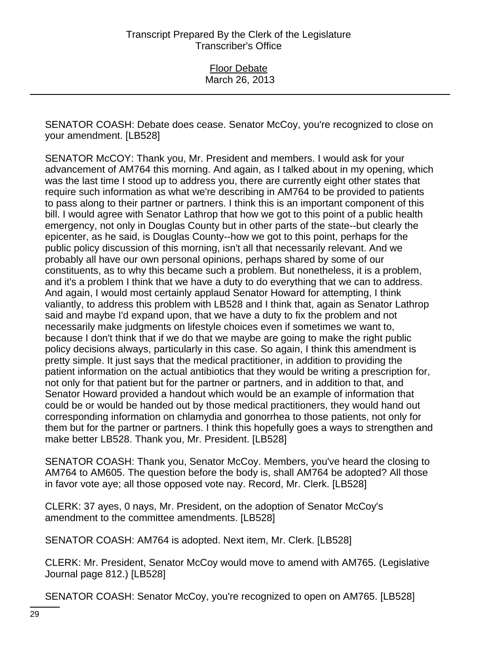SENATOR COASH: Debate does cease. Senator McCoy, you're recognized to close on your amendment. [LB528]

SENATOR McCOY: Thank you, Mr. President and members. I would ask for your advancement of AM764 this morning. And again, as I talked about in my opening, which was the last time I stood up to address you, there are currently eight other states that require such information as what we're describing in AM764 to be provided to patients to pass along to their partner or partners. I think this is an important component of this bill. I would agree with Senator Lathrop that how we got to this point of a public health emergency, not only in Douglas County but in other parts of the state--but clearly the epicenter, as he said, is Douglas County--how we got to this point, perhaps for the public policy discussion of this morning, isn't all that necessarily relevant. And we probably all have our own personal opinions, perhaps shared by some of our constituents, as to why this became such a problem. But nonetheless, it is a problem, and it's a problem I think that we have a duty to do everything that we can to address. And again, I would most certainly applaud Senator Howard for attempting, I think valiantly, to address this problem with LB528 and I think that, again as Senator Lathrop said and maybe I'd expand upon, that we have a duty to fix the problem and not necessarily make judgments on lifestyle choices even if sometimes we want to, because I don't think that if we do that we maybe are going to make the right public policy decisions always, particularly in this case. So again, I think this amendment is pretty simple. It just says that the medical practitioner, in addition to providing the patient information on the actual antibiotics that they would be writing a prescription for, not only for that patient but for the partner or partners, and in addition to that, and Senator Howard provided a handout which would be an example of information that could be or would be handed out by those medical practitioners, they would hand out corresponding information on chlamydia and gonorrhea to those patients, not only for them but for the partner or partners. I think this hopefully goes a ways to strengthen and make better LB528. Thank you, Mr. President. [LB528]

SENATOR COASH: Thank you, Senator McCoy. Members, you've heard the closing to AM764 to AM605. The question before the body is, shall AM764 be adopted? All those in favor vote aye; all those opposed vote nay. Record, Mr. Clerk. [LB528]

CLERK: 37 ayes, 0 nays, Mr. President, on the adoption of Senator McCoy's amendment to the committee amendments. [LB528]

SENATOR COASH: AM764 is adopted. Next item, Mr. Clerk. [LB528]

CLERK: Mr. President, Senator McCoy would move to amend with AM765. (Legislative Journal page 812.) [LB528]

SENATOR COASH: Senator McCoy, you're recognized to open on AM765. [LB528]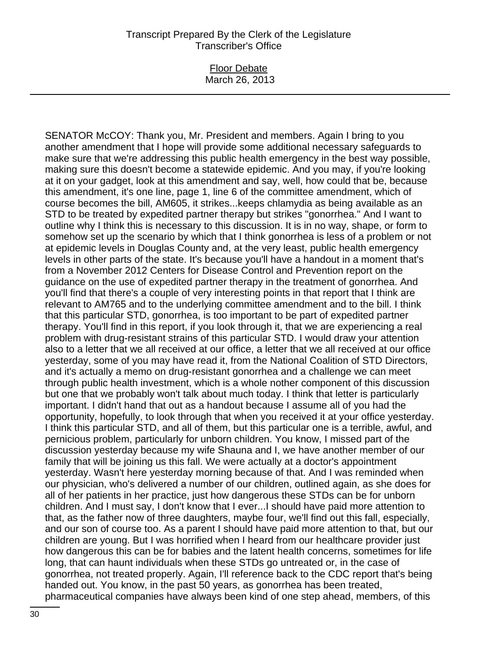Floor Debate March 26, 2013

SENATOR McCOY: Thank you, Mr. President and members. Again I bring to you another amendment that I hope will provide some additional necessary safeguards to make sure that we're addressing this public health emergency in the best way possible, making sure this doesn't become a statewide epidemic. And you may, if you're looking at it on your gadget, look at this amendment and say, well, how could that be, because this amendment, it's one line, page 1, line 6 of the committee amendment, which of course becomes the bill, AM605, it strikes...keeps chlamydia as being available as an STD to be treated by expedited partner therapy but strikes "gonorrhea." And I want to outline why I think this is necessary to this discussion. It is in no way, shape, or form to somehow set up the scenario by which that I think gonorrhea is less of a problem or not at epidemic levels in Douglas County and, at the very least, public health emergency levels in other parts of the state. It's because you'll have a handout in a moment that's from a November 2012 Centers for Disease Control and Prevention report on the guidance on the use of expedited partner therapy in the treatment of gonorrhea. And you'll find that there's a couple of very interesting points in that report that I think are relevant to AM765 and to the underlying committee amendment and to the bill. I think that this particular STD, gonorrhea, is too important to be part of expedited partner therapy. You'll find in this report, if you look through it, that we are experiencing a real problem with drug-resistant strains of this particular STD. I would draw your attention also to a letter that we all received at our office, a letter that we all received at our office yesterday, some of you may have read it, from the National Coalition of STD Directors, and it's actually a memo on drug-resistant gonorrhea and a challenge we can meet through public health investment, which is a whole nother component of this discussion but one that we probably won't talk about much today. I think that letter is particularly important. I didn't hand that out as a handout because I assume all of you had the opportunity, hopefully, to look through that when you received it at your office yesterday. I think this particular STD, and all of them, but this particular one is a terrible, awful, and pernicious problem, particularly for unborn children. You know, I missed part of the discussion yesterday because my wife Shauna and I, we have another member of our family that will be joining us this fall. We were actually at a doctor's appointment yesterday. Wasn't here yesterday morning because of that. And I was reminded when our physician, who's delivered a number of our children, outlined again, as she does for all of her patients in her practice, just how dangerous these STDs can be for unborn children. And I must say, I don't know that I ever...I should have paid more attention to that, as the father now of three daughters, maybe four, we'll find out this fall, especially, and our son of course too. As a parent I should have paid more attention to that, but our children are young. But I was horrified when I heard from our healthcare provider just how dangerous this can be for babies and the latent health concerns, sometimes for life long, that can haunt individuals when these STDs go untreated or, in the case of gonorrhea, not treated properly. Again, I'll reference back to the CDC report that's being handed out. You know, in the past 50 years, as gonorrhea has been treated, pharmaceutical companies have always been kind of one step ahead, members, of this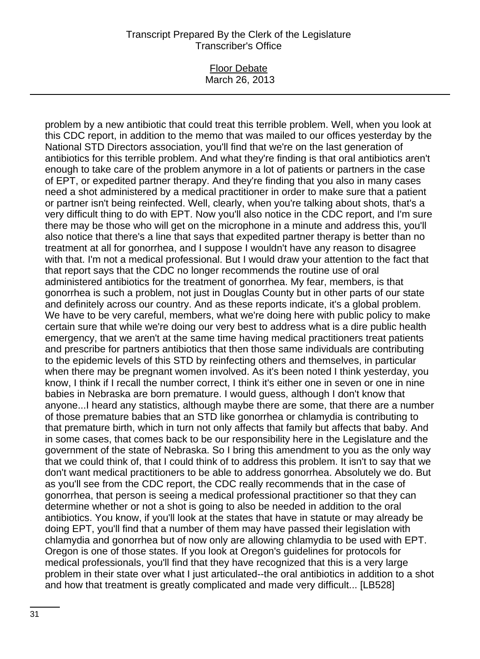#### Floor Debate March 26, 2013

problem by a new antibiotic that could treat this terrible problem. Well, when you look at this CDC report, in addition to the memo that was mailed to our offices yesterday by the National STD Directors association, you'll find that we're on the last generation of antibiotics for this terrible problem. And what they're finding is that oral antibiotics aren't enough to take care of the problem anymore in a lot of patients or partners in the case of EPT, or expedited partner therapy. And they're finding that you also in many cases need a shot administered by a medical practitioner in order to make sure that a patient or partner isn't being reinfected. Well, clearly, when you're talking about shots, that's a very difficult thing to do with EPT. Now you'll also notice in the CDC report, and I'm sure there may be those who will get on the microphone in a minute and address this, you'll also notice that there's a line that says that expedited partner therapy is better than no treatment at all for gonorrhea, and I suppose I wouldn't have any reason to disagree with that. I'm not a medical professional. But I would draw your attention to the fact that that report says that the CDC no longer recommends the routine use of oral administered antibiotics for the treatment of gonorrhea. My fear, members, is that gonorrhea is such a problem, not just in Douglas County but in other parts of our state and definitely across our country. And as these reports indicate, it's a global problem. We have to be very careful, members, what we're doing here with public policy to make certain sure that while we're doing our very best to address what is a dire public health emergency, that we aren't at the same time having medical practitioners treat patients and prescribe for partners antibiotics that then those same individuals are contributing to the epidemic levels of this STD by reinfecting others and themselves, in particular when there may be pregnant women involved. As it's been noted I think yesterday, you know, I think if I recall the number correct, I think it's either one in seven or one in nine babies in Nebraska are born premature. I would guess, although I don't know that anyone...I heard any statistics, although maybe there are some, that there are a number of those premature babies that an STD like gonorrhea or chlamydia is contributing to that premature birth, which in turn not only affects that family but affects that baby. And in some cases, that comes back to be our responsibility here in the Legislature and the government of the state of Nebraska. So I bring this amendment to you as the only way that we could think of, that I could think of to address this problem. It isn't to say that we don't want medical practitioners to be able to address gonorrhea. Absolutely we do. But as you'll see from the CDC report, the CDC really recommends that in the case of gonorrhea, that person is seeing a medical professional practitioner so that they can determine whether or not a shot is going to also be needed in addition to the oral antibiotics. You know, if you'll look at the states that have in statute or may already be doing EPT, you'll find that a number of them may have passed their legislation with chlamydia and gonorrhea but of now only are allowing chlamydia to be used with EPT. Oregon is one of those states. If you look at Oregon's guidelines for protocols for medical professionals, you'll find that they have recognized that this is a very large problem in their state over what I just articulated--the oral antibiotics in addition to a shot and how that treatment is greatly complicated and made very difficult... [LB528]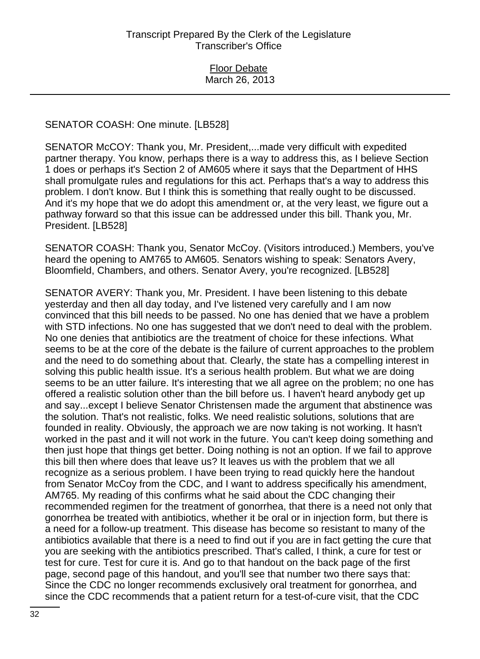### SENATOR COASH: One minute. [LB528]

SENATOR McCOY: Thank you, Mr. President,...made very difficult with expedited partner therapy. You know, perhaps there is a way to address this, as I believe Section 1 does or perhaps it's Section 2 of AM605 where it says that the Department of HHS shall promulgate rules and regulations for this act. Perhaps that's a way to address this problem. I don't know. But I think this is something that really ought to be discussed. And it's my hope that we do adopt this amendment or, at the very least, we figure out a pathway forward so that this issue can be addressed under this bill. Thank you, Mr. President. [LB528]

SENATOR COASH: Thank you, Senator McCoy. (Visitors introduced.) Members, you've heard the opening to AM765 to AM605. Senators wishing to speak: Senators Avery, Bloomfield, Chambers, and others. Senator Avery, you're recognized. [LB528]

SENATOR AVERY: Thank you, Mr. President. I have been listening to this debate yesterday and then all day today, and I've listened very carefully and I am now convinced that this bill needs to be passed. No one has denied that we have a problem with STD infections. No one has suggested that we don't need to deal with the problem. No one denies that antibiotics are the treatment of choice for these infections. What seems to be at the core of the debate is the failure of current approaches to the problem and the need to do something about that. Clearly, the state has a compelling interest in solving this public health issue. It's a serious health problem. But what we are doing seems to be an utter failure. It's interesting that we all agree on the problem; no one has offered a realistic solution other than the bill before us. I haven't heard anybody get up and say...except I believe Senator Christensen made the argument that abstinence was the solution. That's not realistic, folks. We need realistic solutions, solutions that are founded in reality. Obviously, the approach we are now taking is not working. It hasn't worked in the past and it will not work in the future. You can't keep doing something and then just hope that things get better. Doing nothing is not an option. If we fail to approve this bill then where does that leave us? It leaves us with the problem that we all recognize as a serious problem. I have been trying to read quickly here the handout from Senator McCoy from the CDC, and I want to address specifically his amendment, AM765. My reading of this confirms what he said about the CDC changing their recommended regimen for the treatment of gonorrhea, that there is a need not only that gonorrhea be treated with antibiotics, whether it be oral or in injection form, but there is a need for a follow-up treatment. This disease has become so resistant to many of the antibiotics available that there is a need to find out if you are in fact getting the cure that you are seeking with the antibiotics prescribed. That's called, I think, a cure for test or test for cure. Test for cure it is. And go to that handout on the back page of the first page, second page of this handout, and you'll see that number two there says that: Since the CDC no longer recommends exclusively oral treatment for gonorrhea, and since the CDC recommends that a patient return for a test-of-cure visit, that the CDC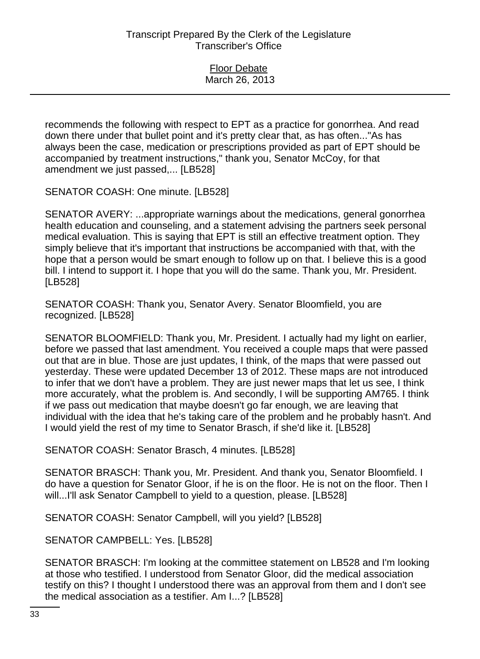| <b>Floor Debate</b> |
|---------------------|
| March 26, 2013      |

recommends the following with respect to EPT as a practice for gonorrhea. And read down there under that bullet point and it's pretty clear that, as has often..."As has always been the case, medication or prescriptions provided as part of EPT should be accompanied by treatment instructions," thank you, Senator McCoy, for that amendment we just passed,... [LB528]

SENATOR COASH: One minute. [LB528]

SENATOR AVERY: ...appropriate warnings about the medications, general gonorrhea health education and counseling, and a statement advising the partners seek personal medical evaluation. This is saying that EPT is still an effective treatment option. They simply believe that it's important that instructions be accompanied with that, with the hope that a person would be smart enough to follow up on that. I believe this is a good bill. I intend to support it. I hope that you will do the same. Thank you, Mr. President. [LB528]

SENATOR COASH: Thank you, Senator Avery. Senator Bloomfield, you are recognized. [LB528]

SENATOR BLOOMFIELD: Thank you, Mr. President. I actually had my light on earlier, before we passed that last amendment. You received a couple maps that were passed out that are in blue. Those are just updates, I think, of the maps that were passed out yesterday. These were updated December 13 of 2012. These maps are not introduced to infer that we don't have a problem. They are just newer maps that let us see, I think more accurately, what the problem is. And secondly, I will be supporting AM765. I think if we pass out medication that maybe doesn't go far enough, we are leaving that individual with the idea that he's taking care of the problem and he probably hasn't. And I would yield the rest of my time to Senator Brasch, if she'd like it. [LB528]

SENATOR COASH: Senator Brasch, 4 minutes. [LB528]

SENATOR BRASCH: Thank you, Mr. President. And thank you, Senator Bloomfield. I do have a question for Senator Gloor, if he is on the floor. He is not on the floor. Then I will...I'll ask Senator Campbell to yield to a question, please. [LB528]

SENATOR COASH: Senator Campbell, will you yield? [LB528]

SENATOR CAMPBELL: Yes. [LB528]

SENATOR BRASCH: I'm looking at the committee statement on LB528 and I'm looking at those who testified. I understood from Senator Gloor, did the medical association testify on this? I thought I understood there was an approval from them and I don't see the medical association as a testifier. Am I...? [LB528]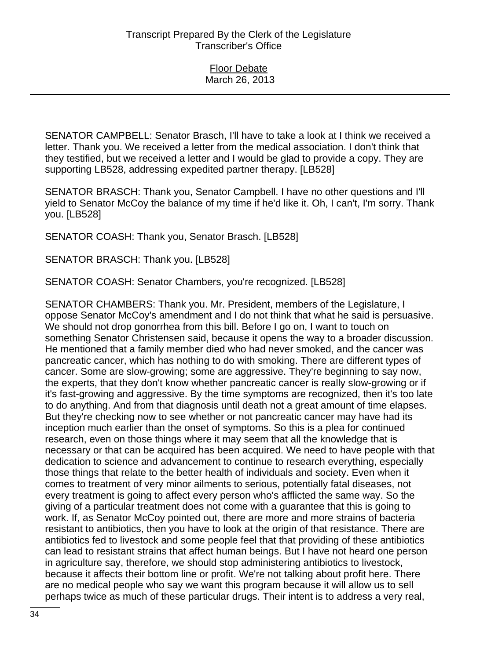SENATOR CAMPBELL: Senator Brasch, I'll have to take a look at I think we received a letter. Thank you. We received a letter from the medical association. I don't think that they testified, but we received a letter and I would be glad to provide a copy. They are supporting LB528, addressing expedited partner therapy. [LB528]

SENATOR BRASCH: Thank you, Senator Campbell. I have no other questions and I'll yield to Senator McCoy the balance of my time if he'd like it. Oh, I can't, I'm sorry. Thank you. [LB528]

SENATOR COASH: Thank you, Senator Brasch. [LB528]

SENATOR BRASCH: Thank you. [LB528]

SENATOR COASH: Senator Chambers, you're recognized. [LB528]

SENATOR CHAMBERS: Thank you. Mr. President, members of the Legislature, I oppose Senator McCoy's amendment and I do not think that what he said is persuasive. We should not drop gonorrhea from this bill. Before I go on, I want to touch on something Senator Christensen said, because it opens the way to a broader discussion. He mentioned that a family member died who had never smoked, and the cancer was pancreatic cancer, which has nothing to do with smoking. There are different types of cancer. Some are slow-growing; some are aggressive. They're beginning to say now, the experts, that they don't know whether pancreatic cancer is really slow-growing or if it's fast-growing and aggressive. By the time symptoms are recognized, then it's too late to do anything. And from that diagnosis until death not a great amount of time elapses. But they're checking now to see whether or not pancreatic cancer may have had its inception much earlier than the onset of symptoms. So this is a plea for continued research, even on those things where it may seem that all the knowledge that is necessary or that can be acquired has been acquired. We need to have people with that dedication to science and advancement to continue to research everything, especially those things that relate to the better health of individuals and society. Even when it comes to treatment of very minor ailments to serious, potentially fatal diseases, not every treatment is going to affect every person who's afflicted the same way. So the giving of a particular treatment does not come with a guarantee that this is going to work. If, as Senator McCoy pointed out, there are more and more strains of bacteria resistant to antibiotics, then you have to look at the origin of that resistance. There are antibiotics fed to livestock and some people feel that that providing of these antibiotics can lead to resistant strains that affect human beings. But I have not heard one person in agriculture say, therefore, we should stop administering antibiotics to livestock, because it affects their bottom line or profit. We're not talking about profit here. There are no medical people who say we want this program because it will allow us to sell perhaps twice as much of these particular drugs. Their intent is to address a very real,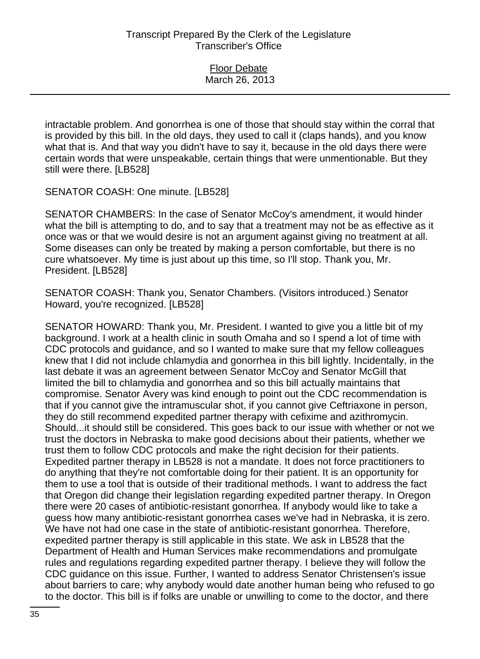| <b>Floor Debate</b> |  |
|---------------------|--|
| March 26, 2013      |  |

intractable problem. And gonorrhea is one of those that should stay within the corral that is provided by this bill. In the old days, they used to call it (claps hands), and you know what that is. And that way you didn't have to say it, because in the old days there were certain words that were unspeakable, certain things that were unmentionable. But they still were there. [LB528]

SENATOR COASH: One minute. [LB528]

SENATOR CHAMBERS: In the case of Senator McCoy's amendment, it would hinder what the bill is attempting to do, and to say that a treatment may not be as effective as it once was or that we would desire is not an argument against giving no treatment at all. Some diseases can only be treated by making a person comfortable, but there is no cure whatsoever. My time is just about up this time, so I'll stop. Thank you, Mr. President. [LB528]

SENATOR COASH: Thank you, Senator Chambers. (Visitors introduced.) Senator Howard, you're recognized. [LB528]

SENATOR HOWARD: Thank you, Mr. President. I wanted to give you a little bit of my background. I work at a health clinic in south Omaha and so I spend a lot of time with CDC protocols and guidance, and so I wanted to make sure that my fellow colleagues knew that I did not include chlamydia and gonorrhea in this bill lightly. Incidentally, in the last debate it was an agreement between Senator McCoy and Senator McGill that limited the bill to chlamydia and gonorrhea and so this bill actually maintains that compromise. Senator Avery was kind enough to point out the CDC recommendation is that if you cannot give the intramuscular shot, if you cannot give Ceftriaxone in person, they do still recommend expedited partner therapy with cefixime and azithromycin. Should...it should still be considered. This goes back to our issue with whether or not we trust the doctors in Nebraska to make good decisions about their patients, whether we trust them to follow CDC protocols and make the right decision for their patients. Expedited partner therapy in LB528 is not a mandate. It does not force practitioners to do anything that they're not comfortable doing for their patient. It is an opportunity for them to use a tool that is outside of their traditional methods. I want to address the fact that Oregon did change their legislation regarding expedited partner therapy. In Oregon there were 20 cases of antibiotic-resistant gonorrhea. If anybody would like to take a guess how many antibiotic-resistant gonorrhea cases we've had in Nebraska, it is zero. We have not had one case in the state of antibiotic-resistant gonorrhea. Therefore, expedited partner therapy is still applicable in this state. We ask in LB528 that the Department of Health and Human Services make recommendations and promulgate rules and regulations regarding expedited partner therapy. I believe they will follow the CDC guidance on this issue. Further, I wanted to address Senator Christensen's issue about barriers to care; why anybody would date another human being who refused to go to the doctor. This bill is if folks are unable or unwilling to come to the doctor, and there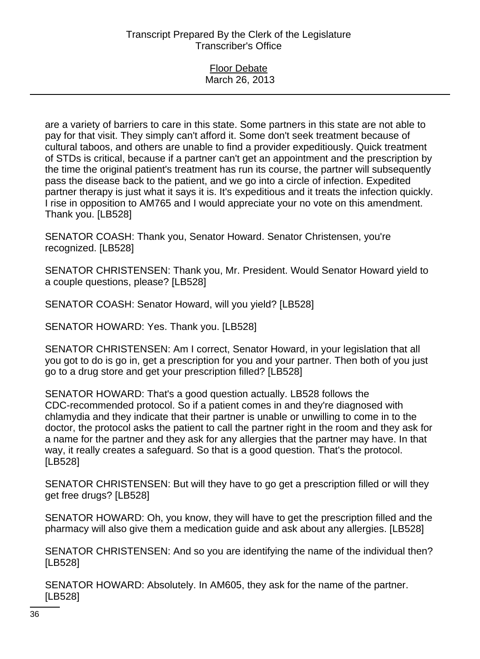#### Floor Debate March 26, 2013

are a variety of barriers to care in this state. Some partners in this state are not able to pay for that visit. They simply can't afford it. Some don't seek treatment because of cultural taboos, and others are unable to find a provider expeditiously. Quick treatment of STDs is critical, because if a partner can't get an appointment and the prescription by the time the original patient's treatment has run its course, the partner will subsequently pass the disease back to the patient, and we go into a circle of infection. Expedited partner therapy is just what it says it is. It's expeditious and it treats the infection quickly. I rise in opposition to AM765 and I would appreciate your no vote on this amendment. Thank you. [LB528]

SENATOR COASH: Thank you, Senator Howard. Senator Christensen, you're recognized. [LB528]

SENATOR CHRISTENSEN: Thank you, Mr. President. Would Senator Howard yield to a couple questions, please? [LB528]

SENATOR COASH: Senator Howard, will you yield? [LB528]

SENATOR HOWARD: Yes. Thank you. [LB528]

SENATOR CHRISTENSEN: Am I correct, Senator Howard, in your legislation that all you got to do is go in, get a prescription for you and your partner. Then both of you just go to a drug store and get your prescription filled? [LB528]

SENATOR HOWARD: That's a good question actually. LB528 follows the CDC-recommended protocol. So if a patient comes in and they're diagnosed with chlamydia and they indicate that their partner is unable or unwilling to come in to the doctor, the protocol asks the patient to call the partner right in the room and they ask for a name for the partner and they ask for any allergies that the partner may have. In that way, it really creates a safeguard. So that is a good question. That's the protocol. [LB528]

SENATOR CHRISTENSEN: But will they have to go get a prescription filled or will they get free drugs? [LB528]

SENATOR HOWARD: Oh, you know, they will have to get the prescription filled and the pharmacy will also give them a medication guide and ask about any allergies. [LB528]

SENATOR CHRISTENSEN: And so you are identifying the name of the individual then? [LB528]

SENATOR HOWARD: Absolutely. In AM605, they ask for the name of the partner. [LB528]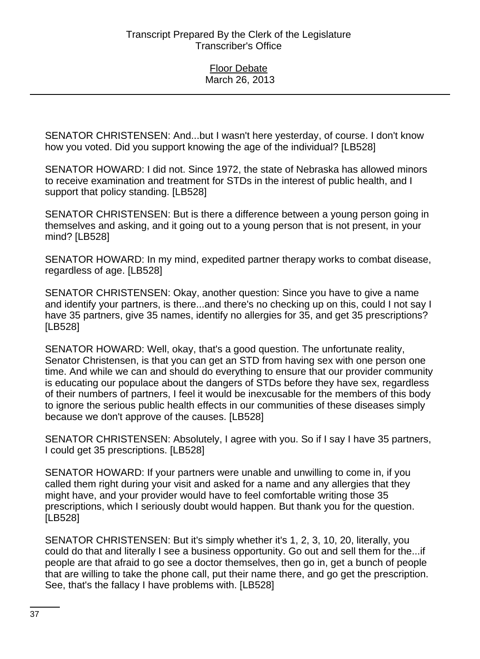SENATOR CHRISTENSEN: And...but I wasn't here yesterday, of course. I don't know how you voted. Did you support knowing the age of the individual? [LB528]

SENATOR HOWARD: I did not. Since 1972, the state of Nebraska has allowed minors to receive examination and treatment for STDs in the interest of public health, and I support that policy standing. [LB528]

SENATOR CHRISTENSEN: But is there a difference between a young person going in themselves and asking, and it going out to a young person that is not present, in your mind? [LB528]

SENATOR HOWARD: In my mind, expedited partner therapy works to combat disease, regardless of age. [LB528]

SENATOR CHRISTENSEN: Okay, another question: Since you have to give a name and identify your partners, is there...and there's no checking up on this, could I not say I have 35 partners, give 35 names, identify no allergies for 35, and get 35 prescriptions? [LB528]

SENATOR HOWARD: Well, okay, that's a good question. The unfortunate reality, Senator Christensen, is that you can get an STD from having sex with one person one time. And while we can and should do everything to ensure that our provider community is educating our populace about the dangers of STDs before they have sex, regardless of their numbers of partners, I feel it would be inexcusable for the members of this body to ignore the serious public health effects in our communities of these diseases simply because we don't approve of the causes. [LB528]

SENATOR CHRISTENSEN: Absolutely, I agree with you. So if I say I have 35 partners, I could get 35 prescriptions. [LB528]

SENATOR HOWARD: If your partners were unable and unwilling to come in, if you called them right during your visit and asked for a name and any allergies that they might have, and your provider would have to feel comfortable writing those 35 prescriptions, which I seriously doubt would happen. But thank you for the question. [LB528]

SENATOR CHRISTENSEN: But it's simply whether it's 1, 2, 3, 10, 20, literally, you could do that and literally I see a business opportunity. Go out and sell them for the...if people are that afraid to go see a doctor themselves, then go in, get a bunch of people that are willing to take the phone call, put their name there, and go get the prescription. See, that's the fallacy I have problems with. [LB528]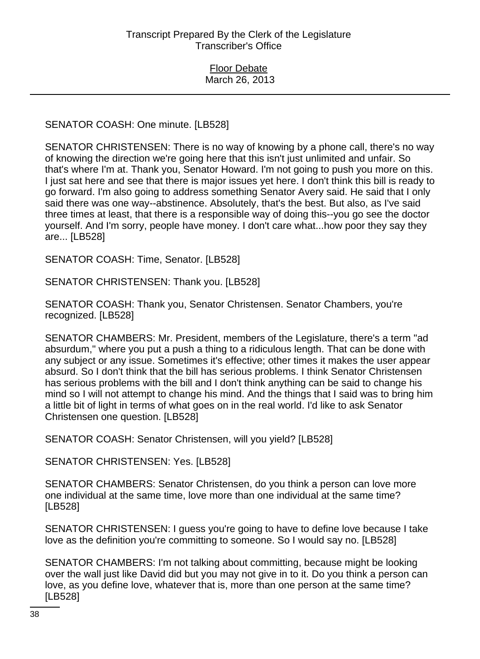SENATOR COASH: One minute. [LB528]

SENATOR CHRISTENSEN: There is no way of knowing by a phone call, there's no way of knowing the direction we're going here that this isn't just unlimited and unfair. So that's where I'm at. Thank you, Senator Howard. I'm not going to push you more on this. I just sat here and see that there is major issues yet here. I don't think this bill is ready to go forward. I'm also going to address something Senator Avery said. He said that I only said there was one way--abstinence. Absolutely, that's the best. But also, as I've said three times at least, that there is a responsible way of doing this--you go see the doctor yourself. And I'm sorry, people have money. I don't care what...how poor they say they are... [LB528]

SENATOR COASH: Time, Senator. [LB528]

SENATOR CHRISTENSEN: Thank you. [LB528]

SENATOR COASH: Thank you, Senator Christensen. Senator Chambers, you're recognized. [LB528]

SENATOR CHAMBERS: Mr. President, members of the Legislature, there's a term "ad absurdum," where you put a push a thing to a ridiculous length. That can be done with any subject or any issue. Sometimes it's effective; other times it makes the user appear absurd. So I don't think that the bill has serious problems. I think Senator Christensen has serious problems with the bill and I don't think anything can be said to change his mind so I will not attempt to change his mind. And the things that I said was to bring him a little bit of light in terms of what goes on in the real world. I'd like to ask Senator Christensen one question. [LB528]

SENATOR COASH: Senator Christensen, will you yield? [LB528]

SENATOR CHRISTENSEN: Yes. [LB528]

SENATOR CHAMBERS: Senator Christensen, do you think a person can love more one individual at the same time, love more than one individual at the same time? [LB528]

SENATOR CHRISTENSEN: I guess you're going to have to define love because I take love as the definition you're committing to someone. So I would say no. [LB528]

SENATOR CHAMBERS: I'm not talking about committing, because might be looking over the wall just like David did but you may not give in to it. Do you think a person can love, as you define love, whatever that is, more than one person at the same time? [LB528]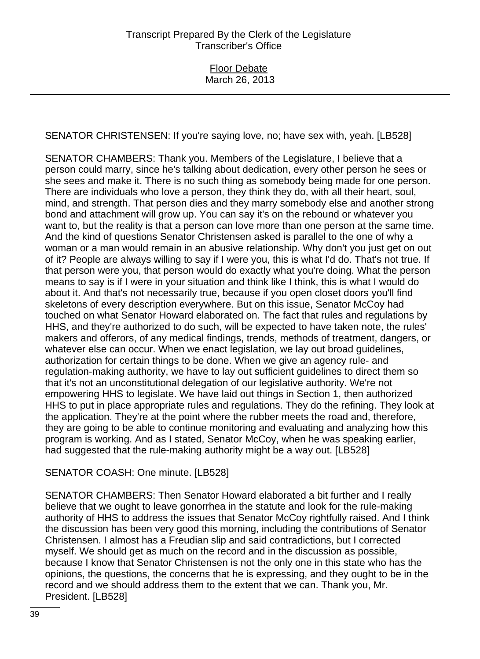SENATOR CHRISTENSEN: If you're saying love, no; have sex with, yeah. [LB528]

SENATOR CHAMBERS: Thank you. Members of the Legislature, I believe that a person could marry, since he's talking about dedication, every other person he sees or she sees and make it. There is no such thing as somebody being made for one person. There are individuals who love a person, they think they do, with all their heart, soul, mind, and strength. That person dies and they marry somebody else and another strong bond and attachment will grow up. You can say it's on the rebound or whatever you want to, but the reality is that a person can love more than one person at the same time. And the kind of questions Senator Christensen asked is parallel to the one of why a woman or a man would remain in an abusive relationship. Why don't you just get on out of it? People are always willing to say if I were you, this is what I'd do. That's not true. If that person were you, that person would do exactly what you're doing. What the person means to say is if I were in your situation and think like I think, this is what I would do about it. And that's not necessarily true, because if you open closet doors you'll find skeletons of every description everywhere. But on this issue, Senator McCoy had touched on what Senator Howard elaborated on. The fact that rules and regulations by HHS, and they're authorized to do such, will be expected to have taken note, the rules' makers and offerors, of any medical findings, trends, methods of treatment, dangers, or whatever else can occur. When we enact legislation, we lay out broad guidelines, authorization for certain things to be done. When we give an agency rule- and regulation-making authority, we have to lay out sufficient guidelines to direct them so that it's not an unconstitutional delegation of our legislative authority. We're not empowering HHS to legislate. We have laid out things in Section 1, then authorized HHS to put in place appropriate rules and regulations. They do the refining. They look at the application. They're at the point where the rubber meets the road and, therefore, they are going to be able to continue monitoring and evaluating and analyzing how this program is working. And as I stated, Senator McCoy, when he was speaking earlier, had suggested that the rule-making authority might be a way out. [LB528]

# SENATOR COASH: One minute. [LB528]

SENATOR CHAMBERS: Then Senator Howard elaborated a bit further and I really believe that we ought to leave gonorrhea in the statute and look for the rule-making authority of HHS to address the issues that Senator McCoy rightfully raised. And I think the discussion has been very good this morning, including the contributions of Senator Christensen. I almost has a Freudian slip and said contradictions, but I corrected myself. We should get as much on the record and in the discussion as possible, because I know that Senator Christensen is not the only one in this state who has the opinions, the questions, the concerns that he is expressing, and they ought to be in the record and we should address them to the extent that we can. Thank you, Mr. President. [LB528]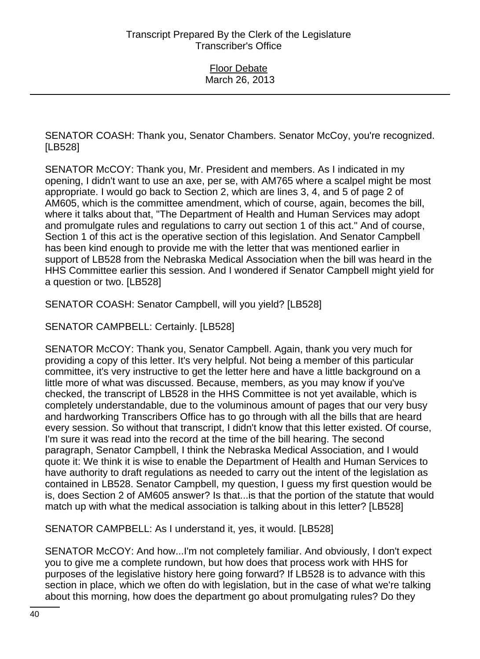SENATOR COASH: Thank you, Senator Chambers. Senator McCoy, you're recognized. [LB528]

SENATOR McCOY: Thank you, Mr. President and members. As I indicated in my opening, I didn't want to use an axe, per se, with AM765 where a scalpel might be most appropriate. I would go back to Section 2, which are lines 3, 4, and 5 of page 2 of AM605, which is the committee amendment, which of course, again, becomes the bill, where it talks about that, "The Department of Health and Human Services may adopt and promulgate rules and regulations to carry out section 1 of this act." And of course, Section 1 of this act is the operative section of this legislation. And Senator Campbell has been kind enough to provide me with the letter that was mentioned earlier in support of LB528 from the Nebraska Medical Association when the bill was heard in the HHS Committee earlier this session. And I wondered if Senator Campbell might yield for a question or two. [LB528]

SENATOR COASH: Senator Campbell, will you yield? [LB528]

SENATOR CAMPBELL: Certainly. [LB528]

SENATOR McCOY: Thank you, Senator Campbell. Again, thank you very much for providing a copy of this letter. It's very helpful. Not being a member of this particular committee, it's very instructive to get the letter here and have a little background on a little more of what was discussed. Because, members, as you may know if you've checked, the transcript of LB528 in the HHS Committee is not yet available, which is completely understandable, due to the voluminous amount of pages that our very busy and hardworking Transcribers Office has to go through with all the bills that are heard every session. So without that transcript, I didn't know that this letter existed. Of course, I'm sure it was read into the record at the time of the bill hearing. The second paragraph, Senator Campbell, I think the Nebraska Medical Association, and I would quote it: We think it is wise to enable the Department of Health and Human Services to have authority to draft regulations as needed to carry out the intent of the legislation as contained in LB528. Senator Campbell, my question, I guess my first question would be is, does Section 2 of AM605 answer? Is that...is that the portion of the statute that would match up with what the medical association is talking about in this letter? [LB528]

SENATOR CAMPBELL: As I understand it, yes, it would. [LB528]

SENATOR McCOY: And how...I'm not completely familiar. And obviously, I don't expect you to give me a complete rundown, but how does that process work with HHS for purposes of the legislative history here going forward? If LB528 is to advance with this section in place, which we often do with legislation, but in the case of what we're talking about this morning, how does the department go about promulgating rules? Do they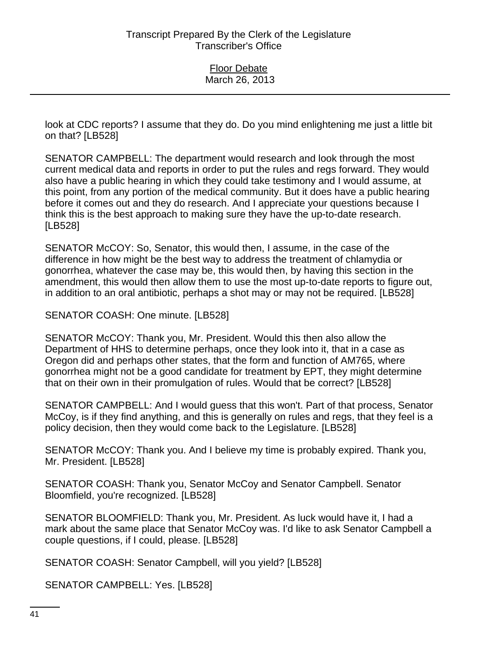look at CDC reports? I assume that they do. Do you mind enlightening me just a little bit on that? [LB528]

SENATOR CAMPBELL: The department would research and look through the most current medical data and reports in order to put the rules and regs forward. They would also have a public hearing in which they could take testimony and I would assume, at this point, from any portion of the medical community. But it does have a public hearing before it comes out and they do research. And I appreciate your questions because I think this is the best approach to making sure they have the up-to-date research. [LB528]

SENATOR McCOY: So, Senator, this would then, I assume, in the case of the difference in how might be the best way to address the treatment of chlamydia or gonorrhea, whatever the case may be, this would then, by having this section in the amendment, this would then allow them to use the most up-to-date reports to figure out, in addition to an oral antibiotic, perhaps a shot may or may not be required. [LB528]

SENATOR COASH: One minute. [LB528]

SENATOR McCOY: Thank you, Mr. President. Would this then also allow the Department of HHS to determine perhaps, once they look into it, that in a case as Oregon did and perhaps other states, that the form and function of AM765, where gonorrhea might not be a good candidate for treatment by EPT, they might determine that on their own in their promulgation of rules. Would that be correct? [LB528]

SENATOR CAMPBELL: And I would guess that this won't. Part of that process, Senator McCoy, is if they find anything, and this is generally on rules and regs, that they feel is a policy decision, then they would come back to the Legislature. [LB528]

SENATOR McCOY: Thank you. And I believe my time is probably expired. Thank you, Mr. President. [LB528]

SENATOR COASH: Thank you, Senator McCoy and Senator Campbell. Senator Bloomfield, you're recognized. [LB528]

SENATOR BLOOMFIELD: Thank you, Mr. President. As luck would have it, I had a mark about the same place that Senator McCoy was. I'd like to ask Senator Campbell a couple questions, if I could, please. [LB528]

SENATOR COASH: Senator Campbell, will you yield? [LB528]

SENATOR CAMPBELL: Yes. [LB528]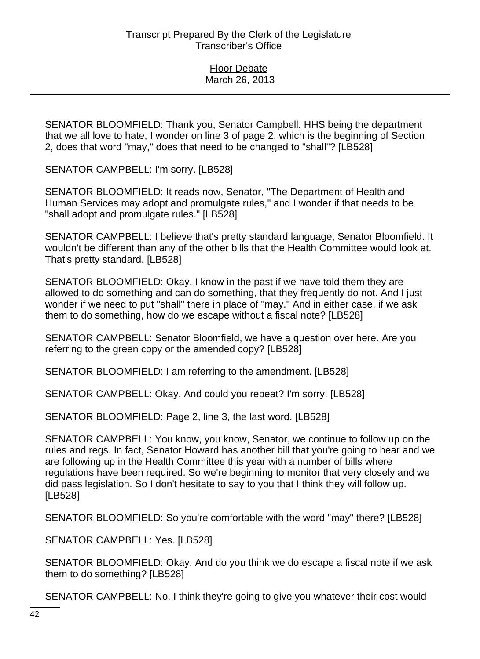SENATOR BLOOMFIELD: Thank you, Senator Campbell. HHS being the department that we all love to hate, I wonder on line 3 of page 2, which is the beginning of Section 2, does that word "may," does that need to be changed to "shall"? [LB528]

SENATOR CAMPBELL: I'm sorry. [LB528]

SENATOR BLOOMFIELD: It reads now, Senator, "The Department of Health and Human Services may adopt and promulgate rules," and I wonder if that needs to be "shall adopt and promulgate rules." [LB528]

SENATOR CAMPBELL: I believe that's pretty standard language, Senator Bloomfield. It wouldn't be different than any of the other bills that the Health Committee would look at. That's pretty standard. [LB528]

SENATOR BLOOMFIELD: Okay. I know in the past if we have told them they are allowed to do something and can do something, that they frequently do not. And I just wonder if we need to put "shall" there in place of "may." And in either case, if we ask them to do something, how do we escape without a fiscal note? [LB528]

SENATOR CAMPBELL: Senator Bloomfield, we have a question over here. Are you referring to the green copy or the amended copy? [LB528]

SENATOR BLOOMFIELD: I am referring to the amendment. [LB528]

SENATOR CAMPBELL: Okay. And could you repeat? I'm sorry. [LB528]

SENATOR BLOOMFIELD: Page 2, line 3, the last word. [LB528]

SENATOR CAMPBELL: You know, you know, Senator, we continue to follow up on the rules and regs. In fact, Senator Howard has another bill that you're going to hear and we are following up in the Health Committee this year with a number of bills where regulations have been required. So we're beginning to monitor that very closely and we did pass legislation. So I don't hesitate to say to you that I think they will follow up. [LB528]

SENATOR BLOOMFIELD: So you're comfortable with the word "may" there? [LB528]

SENATOR CAMPBELL: Yes. [LB528]

SENATOR BLOOMFIELD: Okay. And do you think we do escape a fiscal note if we ask them to do something? [LB528]

SENATOR CAMPBELL: No. I think they're going to give you whatever their cost would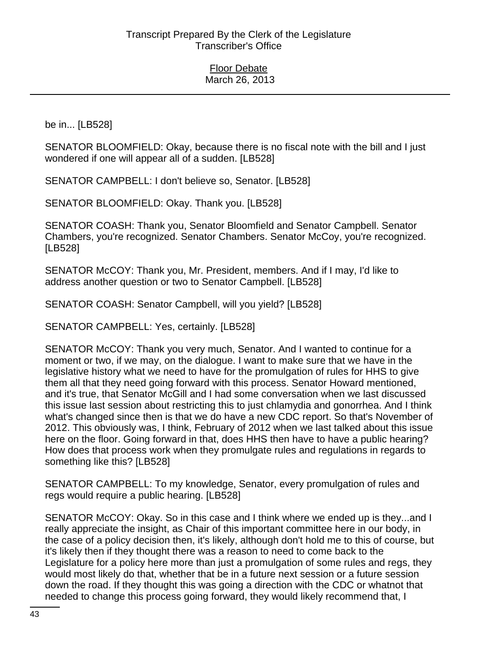be in... [LB528]

SENATOR BLOOMFIELD: Okay, because there is no fiscal note with the bill and I just wondered if one will appear all of a sudden. [LB528]

SENATOR CAMPBELL: I don't believe so, Senator. [LB528]

SENATOR BLOOMFIELD: Okay. Thank you. [LB528]

SENATOR COASH: Thank you, Senator Bloomfield and Senator Campbell. Senator Chambers, you're recognized. Senator Chambers. Senator McCoy, you're recognized. [LB528]

SENATOR McCOY: Thank you, Mr. President, members. And if I may, I'd like to address another question or two to Senator Campbell. [LB528]

SENATOR COASH: Senator Campbell, will you yield? [LB528]

SENATOR CAMPBELL: Yes, certainly. [LB528]

SENATOR McCOY: Thank you very much, Senator. And I wanted to continue for a moment or two, if we may, on the dialogue. I want to make sure that we have in the legislative history what we need to have for the promulgation of rules for HHS to give them all that they need going forward with this process. Senator Howard mentioned, and it's true, that Senator McGill and I had some conversation when we last discussed this issue last session about restricting this to just chlamydia and gonorrhea. And I think what's changed since then is that we do have a new CDC report. So that's November of 2012. This obviously was, I think, February of 2012 when we last talked about this issue here on the floor. Going forward in that, does HHS then have to have a public hearing? How does that process work when they promulgate rules and regulations in regards to something like this? [LB528]

SENATOR CAMPBELL: To my knowledge, Senator, every promulgation of rules and regs would require a public hearing. [LB528]

SENATOR McCOY: Okay. So in this case and I think where we ended up is they...and I really appreciate the insight, as Chair of this important committee here in our body, in the case of a policy decision then, it's likely, although don't hold me to this of course, but it's likely then if they thought there was a reason to need to come back to the Legislature for a policy here more than just a promulgation of some rules and regs, they would most likely do that, whether that be in a future next session or a future session down the road. If they thought this was going a direction with the CDC or whatnot that needed to change this process going forward, they would likely recommend that, I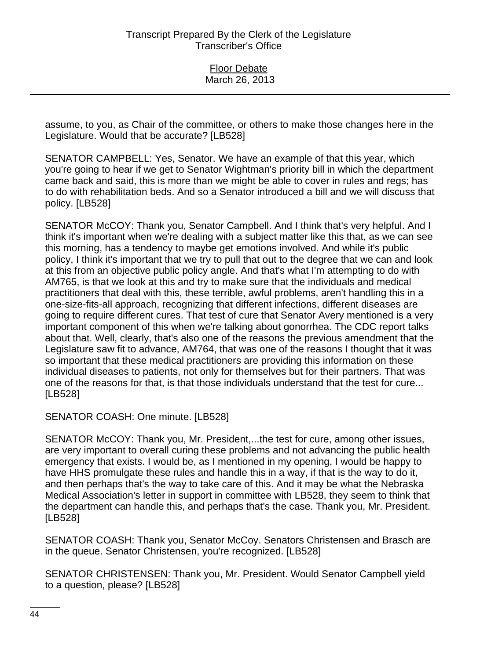assume, to you, as Chair of the committee, or others to make those changes here in the Legislature. Would that be accurate? [LB528]

SENATOR CAMPBELL: Yes, Senator. We have an example of that this year, which you're going to hear if we get to Senator Wightman's priority bill in which the department came back and said, this is more than we might be able to cover in rules and regs; has to do with rehabilitation beds. And so a Senator introduced a bill and we will discuss that policy. [LB528]

SENATOR McCOY: Thank you, Senator Campbell. And I think that's very helpful. And I think it's important when we're dealing with a subject matter like this that, as we can see this morning, has a tendency to maybe get emotions involved. And while it's public policy, I think it's important that we try to pull that out to the degree that we can and look at this from an objective public policy angle. And that's what I'm attempting to do with AM765, is that we look at this and try to make sure that the individuals and medical practitioners that deal with this, these terrible, awful problems, aren't handling this in a one-size-fits-all approach, recognizing that different infections, different diseases are going to require different cures. That test of cure that Senator Avery mentioned is a very important component of this when we're talking about gonorrhea. The CDC report talks about that. Well, clearly, that's also one of the reasons the previous amendment that the Legislature saw fit to advance, AM764, that was one of the reasons I thought that it was so important that these medical practitioners are providing this information on these individual diseases to patients, not only for themselves but for their partners. That was one of the reasons for that, is that those individuals understand that the test for cure... [LB528]

SENATOR COASH: One minute. [LB528]

SENATOR McCOY: Thank you, Mr. President,...the test for cure, among other issues, are very important to overall curing these problems and not advancing the public health emergency that exists. I would be, as I mentioned in my opening, I would be happy to have HHS promulgate these rules and handle this in a way, if that is the way to do it, and then perhaps that's the way to take care of this. And it may be what the Nebraska Medical Association's letter in support in committee with LB528, they seem to think that the department can handle this, and perhaps that's the case. Thank you, Mr. President. [LB528]

SENATOR COASH: Thank you, Senator McCoy. Senators Christensen and Brasch are in the queue. Senator Christensen, you're recognized. [LB528]

SENATOR CHRISTENSEN: Thank you, Mr. President. Would Senator Campbell yield to a question, please? [LB528]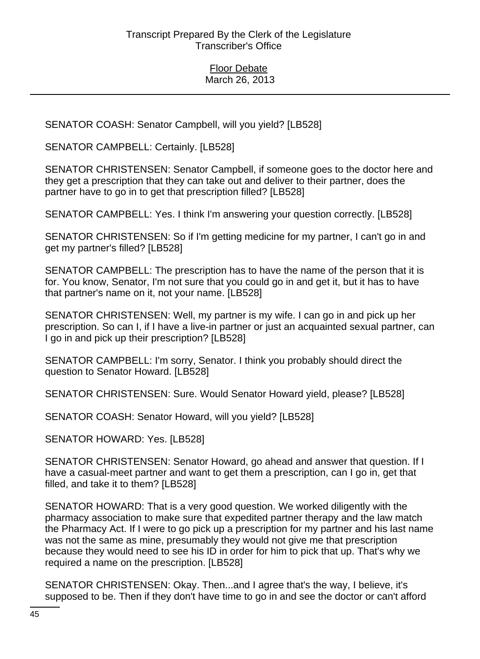SENATOR COASH: Senator Campbell, will you yield? [LB528]

SENATOR CAMPBELL: Certainly. [LB528]

SENATOR CHRISTENSEN: Senator Campbell, if someone goes to the doctor here and they get a prescription that they can take out and deliver to their partner, does the partner have to go in to get that prescription filled? [LB528]

SENATOR CAMPBELL: Yes. I think I'm answering your question correctly. [LB528]

SENATOR CHRISTENSEN: So if I'm getting medicine for my partner, I can't go in and get my partner's filled? [LB528]

SENATOR CAMPBELL: The prescription has to have the name of the person that it is for. You know, Senator, I'm not sure that you could go in and get it, but it has to have that partner's name on it, not your name. [LB528]

SENATOR CHRISTENSEN: Well, my partner is my wife. I can go in and pick up her prescription. So can I, if I have a live-in partner or just an acquainted sexual partner, can I go in and pick up their prescription? [LB528]

SENATOR CAMPBELL: I'm sorry, Senator. I think you probably should direct the question to Senator Howard. [LB528]

SENATOR CHRISTENSEN: Sure. Would Senator Howard yield, please? [LB528]

SENATOR COASH: Senator Howard, will you yield? [LB528]

SENATOR HOWARD: Yes. [LB528]

SENATOR CHRISTENSEN: Senator Howard, go ahead and answer that question. If I have a casual-meet partner and want to get them a prescription, can I go in, get that filled, and take it to them? [LB528]

SENATOR HOWARD: That is a very good question. We worked diligently with the pharmacy association to make sure that expedited partner therapy and the law match the Pharmacy Act. If I were to go pick up a prescription for my partner and his last name was not the same as mine, presumably they would not give me that prescription because they would need to see his ID in order for him to pick that up. That's why we required a name on the prescription. [LB528]

SENATOR CHRISTENSEN: Okay. Then...and I agree that's the way, I believe, it's supposed to be. Then if they don't have time to go in and see the doctor or can't afford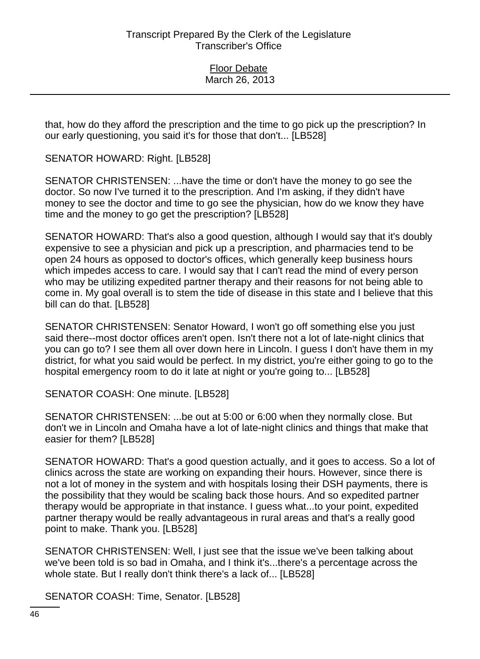that, how do they afford the prescription and the time to go pick up the prescription? In our early questioning, you said it's for those that don't... [LB528]

SENATOR HOWARD: Right. [LB528]

SENATOR CHRISTENSEN: ...have the time or don't have the money to go see the doctor. So now I've turned it to the prescription. And I'm asking, if they didn't have money to see the doctor and time to go see the physician, how do we know they have time and the money to go get the prescription? [LB528]

SENATOR HOWARD: That's also a good question, although I would say that it's doubly expensive to see a physician and pick up a prescription, and pharmacies tend to be open 24 hours as opposed to doctor's offices, which generally keep business hours which impedes access to care. I would say that I can't read the mind of every person who may be utilizing expedited partner therapy and their reasons for not being able to come in. My goal overall is to stem the tide of disease in this state and I believe that this bill can do that. [LB528]

SENATOR CHRISTENSEN: Senator Howard, I won't go off something else you just said there--most doctor offices aren't open. Isn't there not a lot of late-night clinics that you can go to? I see them all over down here in Lincoln. I guess I don't have them in my district, for what you said would be perfect. In my district, you're either going to go to the hospital emergency room to do it late at night or you're going to... [LB528]

SENATOR COASH: One minute. [LB528]

SENATOR CHRISTENSEN: ...be out at 5:00 or 6:00 when they normally close. But don't we in Lincoln and Omaha have a lot of late-night clinics and things that make that easier for them? [LB528]

SENATOR HOWARD: That's a good question actually, and it goes to access. So a lot of clinics across the state are working on expanding their hours. However, since there is not a lot of money in the system and with hospitals losing their DSH payments, there is the possibility that they would be scaling back those hours. And so expedited partner therapy would be appropriate in that instance. I guess what...to your point, expedited partner therapy would be really advantageous in rural areas and that's a really good point to make. Thank you. [LB528]

SENATOR CHRISTENSEN: Well, I just see that the issue we've been talking about we've been told is so bad in Omaha, and I think it's...there's a percentage across the whole state. But I really don't think there's a lack of... [LB528]

SENATOR COASH: Time, Senator. [LB528]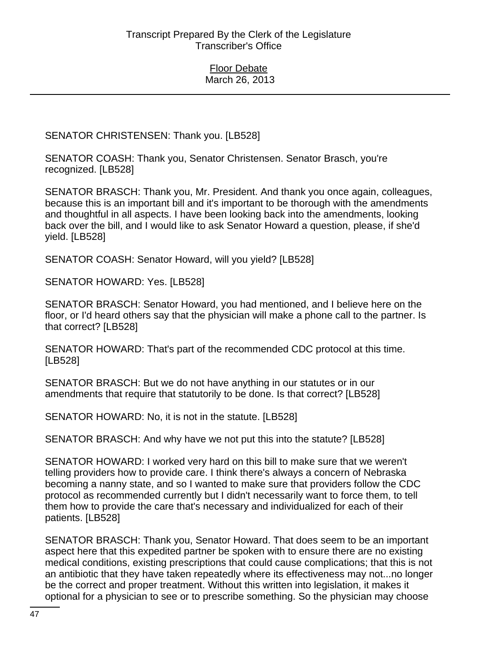SENATOR CHRISTENSEN: Thank you. [LB528]

SENATOR COASH: Thank you, Senator Christensen. Senator Brasch, you're recognized. [LB528]

SENATOR BRASCH: Thank you, Mr. President. And thank you once again, colleagues, because this is an important bill and it's important to be thorough with the amendments and thoughtful in all aspects. I have been looking back into the amendments, looking back over the bill, and I would like to ask Senator Howard a question, please, if she'd yield. [LB528]

SENATOR COASH: Senator Howard, will you yield? [LB528]

SENATOR HOWARD: Yes. [LB528]

SENATOR BRASCH: Senator Howard, you had mentioned, and I believe here on the floor, or I'd heard others say that the physician will make a phone call to the partner. Is that correct? [LB528]

SENATOR HOWARD: That's part of the recommended CDC protocol at this time. [LB528]

SENATOR BRASCH: But we do not have anything in our statutes or in our amendments that require that statutorily to be done. Is that correct? [LB528]

SENATOR HOWARD: No, it is not in the statute. [LB528]

SENATOR BRASCH: And why have we not put this into the statute? [LB528]

SENATOR HOWARD: I worked very hard on this bill to make sure that we weren't telling providers how to provide care. I think there's always a concern of Nebraska becoming a nanny state, and so I wanted to make sure that providers follow the CDC protocol as recommended currently but I didn't necessarily want to force them, to tell them how to provide the care that's necessary and individualized for each of their patients. [LB528]

SENATOR BRASCH: Thank you, Senator Howard. That does seem to be an important aspect here that this expedited partner be spoken with to ensure there are no existing medical conditions, existing prescriptions that could cause complications; that this is not an antibiotic that they have taken repeatedly where its effectiveness may not...no longer be the correct and proper treatment. Without this written into legislation, it makes it optional for a physician to see or to prescribe something. So the physician may choose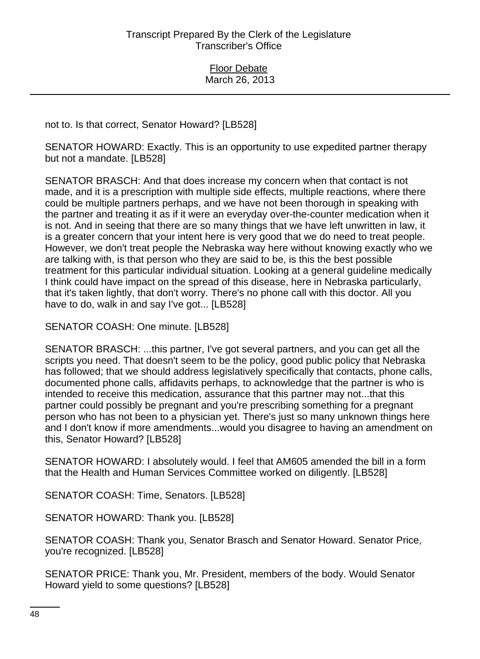not to. Is that correct, Senator Howard? [LB528]

SENATOR HOWARD: Exactly. This is an opportunity to use expedited partner therapy but not a mandate. [LB528]

SENATOR BRASCH: And that does increase my concern when that contact is not made, and it is a prescription with multiple side effects, multiple reactions, where there could be multiple partners perhaps, and we have not been thorough in speaking with the partner and treating it as if it were an everyday over-the-counter medication when it is not. And in seeing that there are so many things that we have left unwritten in law, it is a greater concern that your intent here is very good that we do need to treat people. However, we don't treat people the Nebraska way here without knowing exactly who we are talking with, is that person who they are said to be, is this the best possible treatment for this particular individual situation. Looking at a general guideline medically I think could have impact on the spread of this disease, here in Nebraska particularly, that it's taken lightly, that don't worry. There's no phone call with this doctor. All you have to do, walk in and say I've got... [LB528]

SENATOR COASH: One minute. [LB528]

SENATOR BRASCH: ...this partner, I've got several partners, and you can get all the scripts you need. That doesn't seem to be the policy, good public policy that Nebraska has followed; that we should address legislatively specifically that contacts, phone calls, documented phone calls, affidavits perhaps, to acknowledge that the partner is who is intended to receive this medication, assurance that this partner may not...that this partner could possibly be pregnant and you're prescribing something for a pregnant person who has not been to a physician yet. There's just so many unknown things here and I don't know if more amendments...would you disagree to having an amendment on this, Senator Howard? [LB528]

SENATOR HOWARD: I absolutely would. I feel that AM605 amended the bill in a form that the Health and Human Services Committee worked on diligently. [LB528]

SENATOR COASH: Time, Senators. [LB528]

SENATOR HOWARD: Thank you. [LB528]

SENATOR COASH: Thank you, Senator Brasch and Senator Howard. Senator Price, you're recognized. [LB528]

SENATOR PRICE: Thank you, Mr. President, members of the body. Would Senator Howard yield to some questions? [LB528]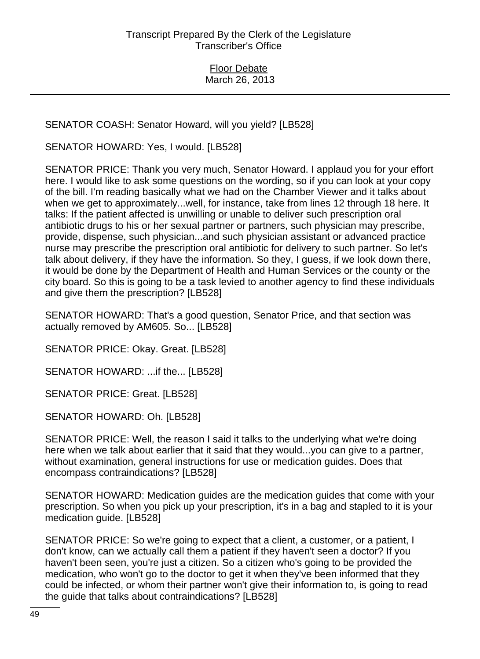SENATOR COASH: Senator Howard, will you yield? [LB528]

SENATOR HOWARD: Yes, I would. [LB528]

SENATOR PRICE: Thank you very much, Senator Howard. I applaud you for your effort here. I would like to ask some questions on the wording, so if you can look at your copy of the bill. I'm reading basically what we had on the Chamber Viewer and it talks about when we get to approximately...well, for instance, take from lines 12 through 18 here. It talks: If the patient affected is unwilling or unable to deliver such prescription oral antibiotic drugs to his or her sexual partner or partners, such physician may prescribe, provide, dispense, such physician...and such physician assistant or advanced practice nurse may prescribe the prescription oral antibiotic for delivery to such partner. So let's talk about delivery, if they have the information. So they, I guess, if we look down there, it would be done by the Department of Health and Human Services or the county or the city board. So this is going to be a task levied to another agency to find these individuals and give them the prescription? [LB528]

SENATOR HOWARD: That's a good question, Senator Price, and that section was actually removed by AM605. So... [LB528]

SENATOR PRICE: Okay. Great. [LB528]

SENATOR HOWARD: ...if the... [LB528]

SENATOR PRICE: Great. [LB528]

SENATOR HOWARD: Oh. [LB528]

SENATOR PRICE: Well, the reason I said it talks to the underlying what we're doing here when we talk about earlier that it said that they would...you can give to a partner, without examination, general instructions for use or medication guides. Does that encompass contraindications? [LB528]

SENATOR HOWARD: Medication guides are the medication guides that come with your prescription. So when you pick up your prescription, it's in a bag and stapled to it is your medication guide. [LB528]

SENATOR PRICE: So we're going to expect that a client, a customer, or a patient, I don't know, can we actually call them a patient if they haven't seen a doctor? If you haven't been seen, you're just a citizen. So a citizen who's going to be provided the medication, who won't go to the doctor to get it when they've been informed that they could be infected, or whom their partner won't give their information to, is going to read the guide that talks about contraindications? [LB528]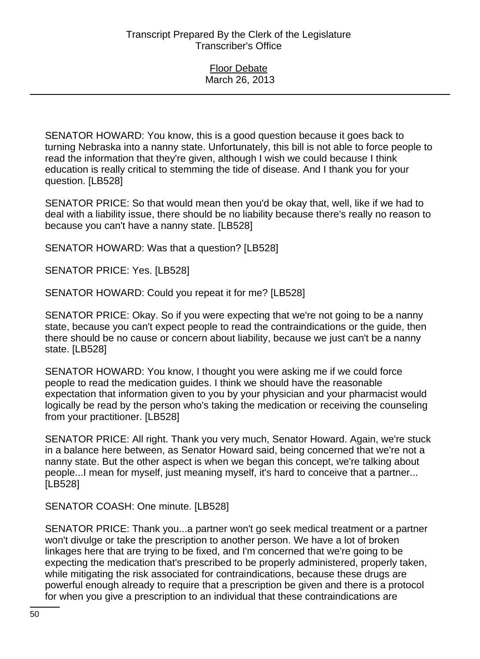SENATOR HOWARD: You know, this is a good question because it goes back to turning Nebraska into a nanny state. Unfortunately, this bill is not able to force people to read the information that they're given, although I wish we could because I think education is really critical to stemming the tide of disease. And I thank you for your question. [LB528]

SENATOR PRICE: So that would mean then you'd be okay that, well, like if we had to deal with a liability issue, there should be no liability because there's really no reason to because you can't have a nanny state. [LB528]

SENATOR HOWARD: Was that a question? [LB528]

SENATOR PRICE: Yes. [LB528]

SENATOR HOWARD: Could you repeat it for me? [LB528]

SENATOR PRICE: Okay. So if you were expecting that we're not going to be a nanny state, because you can't expect people to read the contraindications or the guide, then there should be no cause or concern about liability, because we just can't be a nanny state. [LB528]

SENATOR HOWARD: You know, I thought you were asking me if we could force people to read the medication guides. I think we should have the reasonable expectation that information given to you by your physician and your pharmacist would logically be read by the person who's taking the medication or receiving the counseling from your practitioner. [LB528]

SENATOR PRICE: All right. Thank you very much, Senator Howard. Again, we're stuck in a balance here between, as Senator Howard said, being concerned that we're not a nanny state. But the other aspect is when we began this concept, we're talking about people...I mean for myself, just meaning myself, it's hard to conceive that a partner... [LB528]

SENATOR COASH: One minute. [LB528]

SENATOR PRICE: Thank you...a partner won't go seek medical treatment or a partner won't divulge or take the prescription to another person. We have a lot of broken linkages here that are trying to be fixed, and I'm concerned that we're going to be expecting the medication that's prescribed to be properly administered, properly taken, while mitigating the risk associated for contraindications, because these drugs are powerful enough already to require that a prescription be given and there is a protocol for when you give a prescription to an individual that these contraindications are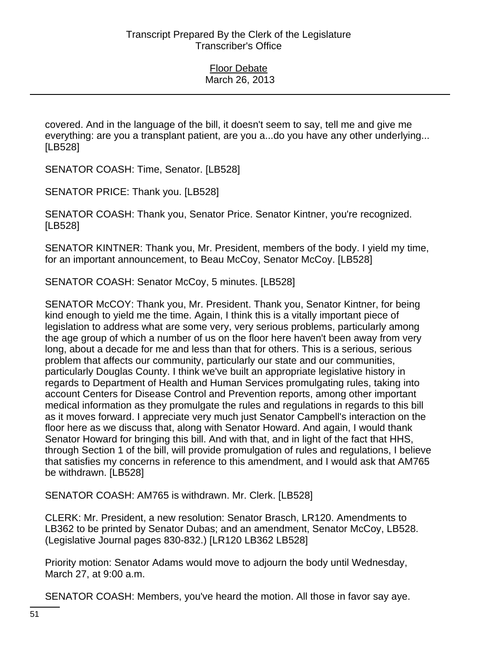covered. And in the language of the bill, it doesn't seem to say, tell me and give me everything: are you a transplant patient, are you a...do you have any other underlying... [LB528]

SENATOR COASH: Time, Senator. [LB528]

SENATOR PRICE: Thank you. [LB528]

SENATOR COASH: Thank you, Senator Price. Senator Kintner, you're recognized. [LB528]

SENATOR KINTNER: Thank you, Mr. President, members of the body. I yield my time, for an important announcement, to Beau McCoy, Senator McCoy. [LB528]

SENATOR COASH: Senator McCoy, 5 minutes. [LB528]

SENATOR McCOY: Thank you, Mr. President. Thank you, Senator Kintner, for being kind enough to yield me the time. Again, I think this is a vitally important piece of legislation to address what are some very, very serious problems, particularly among the age group of which a number of us on the floor here haven't been away from very long, about a decade for me and less than that for others. This is a serious, serious problem that affects our community, particularly our state and our communities, particularly Douglas County. I think we've built an appropriate legislative history in regards to Department of Health and Human Services promulgating rules, taking into account Centers for Disease Control and Prevention reports, among other important medical information as they promulgate the rules and regulations in regards to this bill as it moves forward. I appreciate very much just Senator Campbell's interaction on the floor here as we discuss that, along with Senator Howard. And again, I would thank Senator Howard for bringing this bill. And with that, and in light of the fact that HHS, through Section 1 of the bill, will provide promulgation of rules and regulations, I believe that satisfies my concerns in reference to this amendment, and I would ask that AM765 be withdrawn. [LB528]

SENATOR COASH: AM765 is withdrawn. Mr. Clerk. [LB528]

CLERK: Mr. President, a new resolution: Senator Brasch, LR120. Amendments to LB362 to be printed by Senator Dubas; and an amendment, Senator McCoy, LB528. (Legislative Journal pages 830-832.) [LR120 LB362 LB528]

Priority motion: Senator Adams would move to adjourn the body until Wednesday, March 27, at 9:00 a.m.

SENATOR COASH: Members, you've heard the motion. All those in favor say aye.